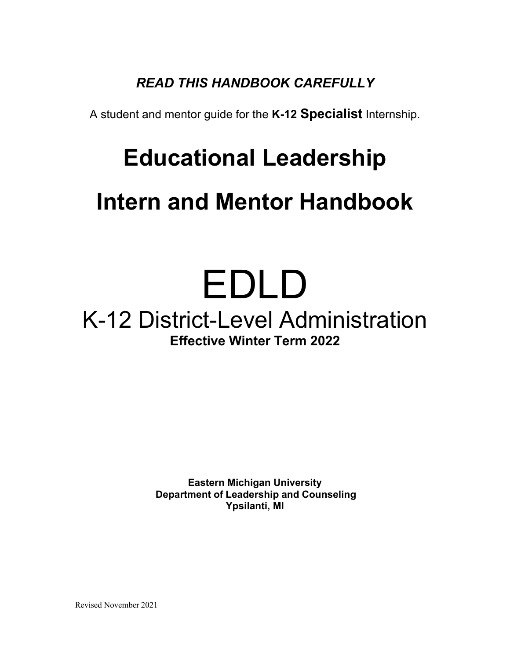# *READ THIS HANDBOOK CAREFULLY*

A student and mentor guide for the **K-12 Specialist** Internship.

# **Educational Leadership**

# **Intern and Mentor Handbook**

# EDLD

# K-12 District-Level Administration **Effective Winter Term 2022**

**Eastern Michigan University Department of Leadership and Counseling Ypsilanti, MI**

Revised November 2021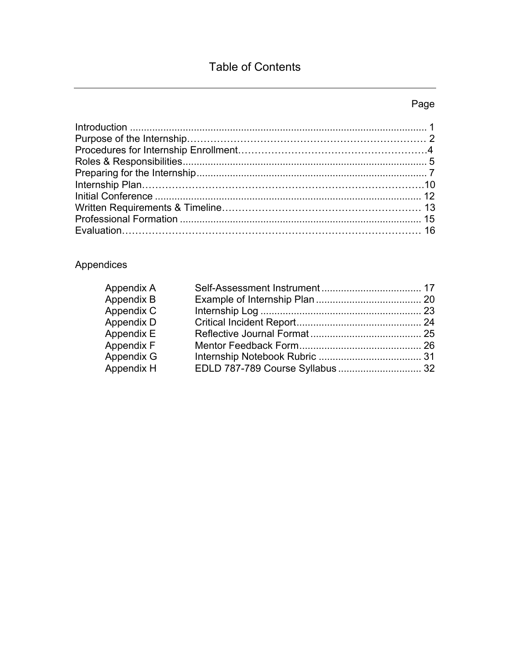# Table of Contents

# Page

# Appendices

| Appendix A |  |
|------------|--|
| Appendix B |  |
| Appendix C |  |
| Appendix D |  |
| Appendix E |  |
| Appendix F |  |
| Appendix G |  |
| Appendix H |  |
|            |  |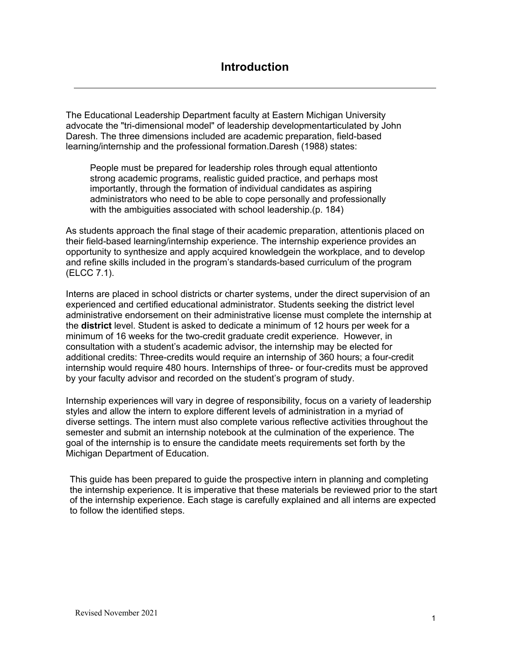The Educational Leadership Department faculty at Eastern Michigan University advocate the "tri-dimensional model" of leadership developmentarticulated by John Daresh. The three dimensions included are academic preparation, field-based learning/internship and the professional formation.Daresh (1988) states:

People must be prepared for leadership roles through equal attentionto strong academic programs, realistic guided practice, and perhaps most importantly, through the formation of individual candidates as aspiring administrators who need to be able to cope personally and professionally with the ambiguities associated with school leadership.(p. 184)

As students approach the final stage of their academic preparation, attentionis placed on their field-based learning/internship experience. The internship experience provides an opportunity to synthesize and apply acquired knowledgein the workplace, and to develop and refine skills included in the program's standards-based curriculum of the program (ELCC 7.1).

Interns are placed in school districts or charter systems, under the direct supervision of an experienced and certified educational administrator. Students seeking the district level administrative endorsement on their administrative license must complete the internship at the **district** level. Student is asked to dedicate a minimum of 12 hours per week for a minimum of 16 weeks for the two-credit graduate credit experience. However, in consultation with a student's academic advisor, the internship may be elected for additional credits: Three-credits would require an internship of 360 hours; a four-credit internship would require 480 hours. Internships of three- or four-credits must be approved by your faculty advisor and recorded on the student's program of study.

Internship experiences will vary in degree of responsibility, focus on a variety of leadership styles and allow the intern to explore different levels of administration in a myriad of diverse settings. The intern must also complete various reflective activities throughout the semester and submit an internship notebook at the culmination of the experience. The goal of the internship is to ensure the candidate meets requirements set forth by the Michigan Department of Education.

This guide has been prepared to guide the prospective intern in planning and completing the internship experience. It is imperative that these materials be reviewed prior to the start of the internship experience. Each stage is carefully explained and all interns are expected to follow the identified steps.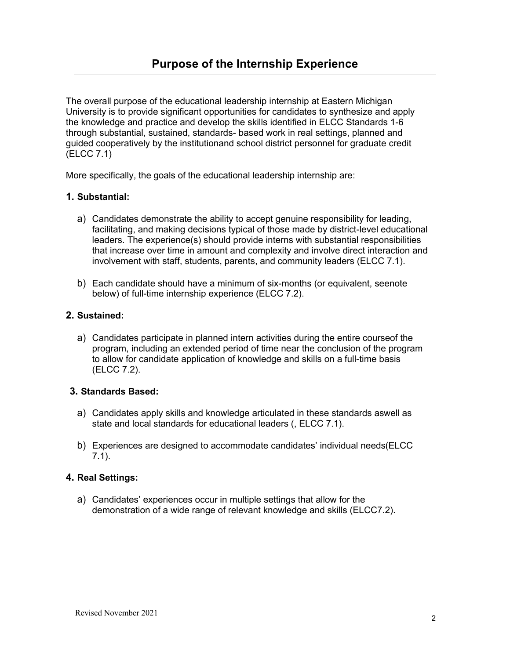The overall purpose of the educational leadership internship at Eastern Michigan University is to provide significant opportunities for candidates to synthesize and apply the knowledge and practice and develop the skills identified in ELCC Standards 1-6 through substantial, sustained, standards- based work in real settings, planned and guided cooperatively by the institutionand school district personnel for graduate credit (ELCC 7.1)

More specifically, the goals of the educational leadership internship are:

#### **1. Substantial:**

- a) Candidates demonstrate the ability to accept genuine responsibility for leading, facilitating, and making decisions typical of those made by district-level educational leaders. The experience(s) should provide interns with substantial responsibilities that increase over time in amount and complexity and involve direct interaction and involvement with staff, students, parents, and community leaders (ELCC 7.1).
- b) Each candidate should have a minimum of six-months (or equivalent, seenote below) of full-time internship experience (ELCC 7.2).

#### **2. Sustained:**

a) Candidates participate in planned intern activities during the entire courseof the program, including an extended period of time near the conclusion of the program to allow for candidate application of knowledge and skills on a full-time basis (ELCC 7.2).

#### **3. Standards Based:**

- a) Candidates apply skills and knowledge articulated in these standards aswell as state and local standards for educational leaders (, ELCC 7.1).
- b) Experiences are designed to accommodate candidates' individual needs(ELCC 7.1).

#### **4. Real Settings:**

a) Candidates' experiences occur in multiple settings that allow for the demonstration of a wide range of relevant knowledge and skills (ELCC7.2).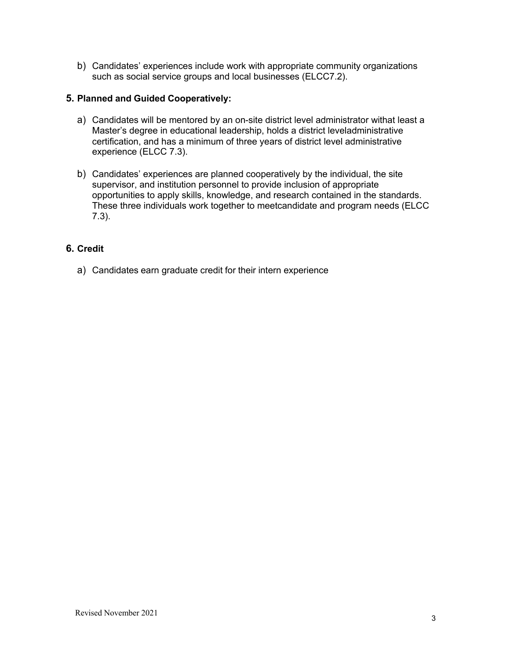b) Candidates' experiences include work with appropriate community organizations such as social service groups and local businesses (ELCC7.2).

#### **5. Planned and Guided Cooperatively:**

- a) Candidates will be mentored by an on-site district level administrator withat least a Master's degree in educational leadership, holds a district leveladministrative certification, and has a minimum of three years of district level administrative experience (ELCC 7.3).
- b) Candidates' experiences are planned cooperatively by the individual, the site supervisor, and institution personnel to provide inclusion of appropriate opportunities to apply skills, knowledge, and research contained in the standards. These three individuals work together to meetcandidate and program needs (ELCC 7.3).

#### **6. Credit**

a) Candidates earn graduate credit for their intern experience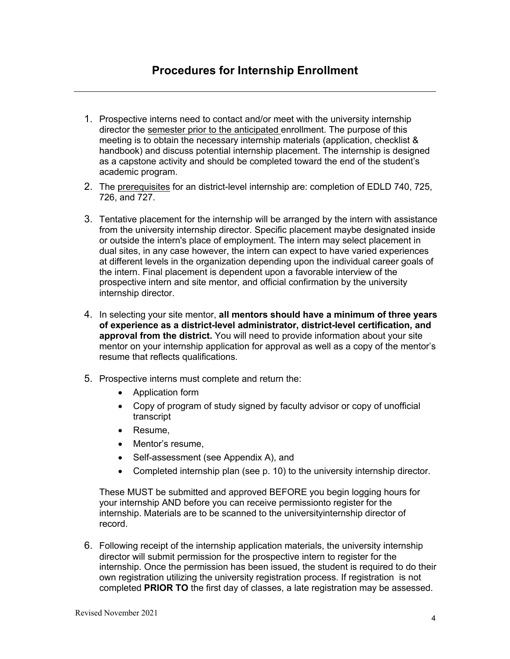- 1. Prospective interns need to contact and/or meet with the university internship director the semester prior to the anticipated enrollment. The purpose of this meeting is to obtain the necessary internship materials (application, checklist & handbook) and discuss potential internship placement. The internship is designed as a capstone activity and should be completed toward the end of the student's academic program.
- 2. The prerequisites for an district-level internship are: completion of EDLD 740, 725, 726, and 727.
- 3. Tentative placement for the internship will be arranged by the intern with assistance from the university internship director. Specific placement maybe designated inside or outside the intern's place of employment. The intern may select placement in dual sites, in any case however, the intern can expect to have varied experiences at different levels in the organization depending upon the individual career goals of the intern. Final placement is dependent upon a favorable interview of the prospective intern and site mentor, and official confirmation by the university internship director.
- 4. In selecting your site mentor, **all mentors should have a minimum of three years of experience as a district-level administrator, district-level certification, and approval from the district.** You will need to provide information about your site mentor on your internship application for approval as well as a copy of the mentor's resume that reflects qualifications.
- 5. Prospective interns must complete and return the:
	- Application form
	- Copy of program of study signed by faculty advisor or copy of unofficial transcript
	- Resume,
	- Mentor's resume,
	- Self-assessment (see Appendix A), and
	- Completed internship plan (see p. 10) to the university internship director.

These MUST be submitted and approved BEFORE you begin logging hours for your internship AND before you can receive permissionto register for the internship. Materials are to be scanned to the universityinternship director of record.

6. Following receipt of the internship application materials, the university internship director will submit permission for the prospective intern to register for the internship. Once the permission has been issued, the student is required to do their own registration utilizing the university registration process. If registration is not completed **PRIOR TO** the first day of classes, a late registration may be assessed.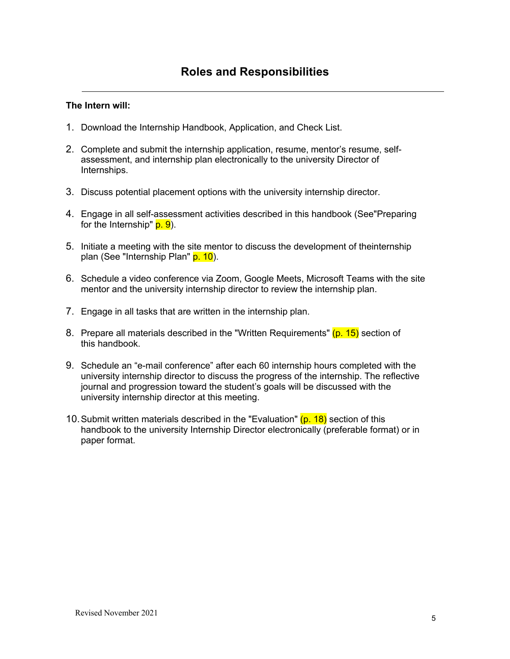#### **The Intern will:**

- 1. Download the Internship Handbook, Application, and Check List.
- 2. Complete and submit the internship application, resume, mentor's resume, selfassessment, and internship plan electronically to the university Director of Internships.
- 3. Discuss potential placement options with the university internship director.
- 4. Engage in all self-assessment activities described in this handbook (See"Preparing for the Internship"  $p. 9$ ).
- 5. Initiate a meeting with the site mentor to discuss the development of theinternship plan (See "Internship Plan" p. 10).
- 6. Schedule a video conference via Zoom, Google Meets, Microsoft Teams with the site mentor and the university internship director to review the internship plan.
- 7. Engage in all tasks that are written in the internship plan.
- 8. Prepare all materials described in the "Written Requirements" (p. 15) section of this handbook.
- 9. Schedule an "e-mail conference" after each 60 internship hours completed with the university internship director to discuss the progress of the internship. The reflective journal and progression toward the student's goals will be discussed with the university internship director at this meeting.
- 10. Submit written materials described in the "Evaluation"  $(p. 18)$  section of this handbook to the university Internship Director electronically (preferable format) or in paper format.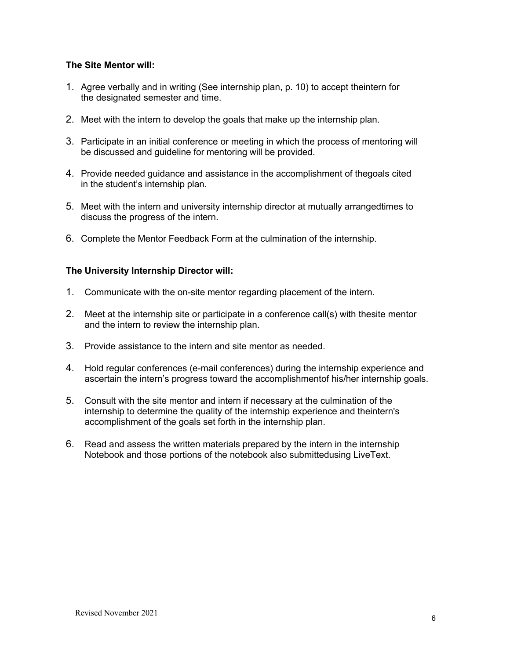#### **The Site Mentor will:**

- 1. Agree verbally and in writing (See internship plan, p. 10) to accept theintern for the designated semester and time.
- 2. Meet with the intern to develop the goals that make up the internship plan.
- 3. Participate in an initial conference or meeting in which the process of mentoring will be discussed and guideline for mentoring will be provided.
- 4. Provide needed guidance and assistance in the accomplishment of thegoals cited in the student's internship plan.
- 5. Meet with the intern and university internship director at mutually arrangedtimes to discuss the progress of the intern.
- 6. Complete the Mentor Feedback Form at the culmination of the internship.

#### **The University Internship Director will:**

- 1. Communicate with the on-site mentor regarding placement of the intern.
- 2. Meet at the internship site or participate in a conference call(s) with thesite mentor and the intern to review the internship plan.
- 3. Provide assistance to the intern and site mentor as needed.
- 4. Hold regular conferences (e-mail conferences) during the internship experience and ascertain the intern's progress toward the accomplishmentof his/her internship goals.
- 5. Consult with the site mentor and intern if necessary at the culmination of the internship to determine the quality of the internship experience and theintern's accomplishment of the goals set forth in the internship plan.
- 6. Read and assess the written materials prepared by the intern in the internship Notebook and those portions of the notebook also submittedusing LiveText.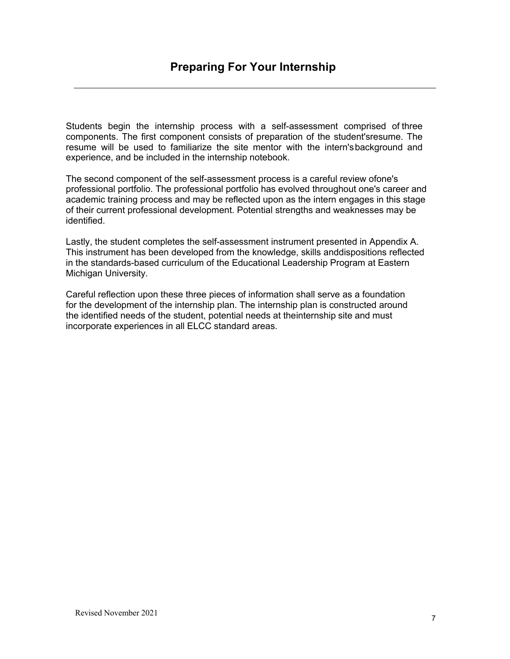Students begin the internship process with a self-assessment comprised of three components. The first component consists of preparation of the student'sresume. The resume will be used to familiarize the site mentor with the intern'sbackground and experience, and be included in the internship notebook.

The second component of the self-assessment process is a careful review ofone's professional portfolio. The professional portfolio has evolved throughout one's career and academic training process and may be reflected upon as the intern engages in this stage of their current professional development. Potential strengths and weaknesses may be identified.

Lastly, the student completes the self-assessment instrument presented in Appendix A. This instrument has been developed from the knowledge, skills anddispositions reflected in the standards-based curriculum of the Educational Leadership Program at Eastern Michigan University.

Careful reflection upon these three pieces of information shall serve as a foundation for the development of the internship plan. The internship plan is constructed around the identified needs of the student, potential needs at theinternship site and must incorporate experiences in all ELCC standard areas.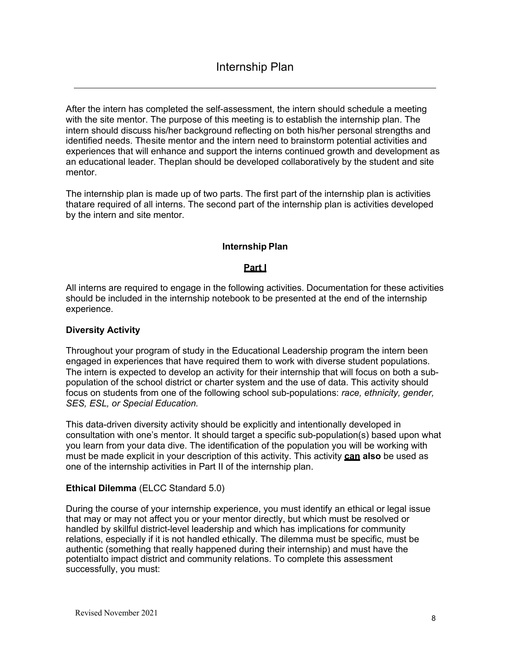After the intern has completed the self-assessment, the intern should schedule a meeting with the site mentor. The purpose of this meeting is to establish the internship plan. The intern should discuss his/her background reflecting on both his/her personal strengths and identified needs. Thesite mentor and the intern need to brainstorm potential activities and experiences that will enhance and support the interns continued growth and development as an educational leader. Theplan should be developed collaboratively by the student and site mentor.

The internship plan is made up of two parts. The first part of the internship plan is activities thatare required of all interns. The second part of the internship plan is activities developed by the intern and site mentor.

#### **Internship Plan**

#### **Part I**

All interns are required to engage in the following activities. Documentation for these activities should be included in the internship notebook to be presented at the end of the internship experience.

#### **Diversity Activity**

Throughout your program of study in the Educational Leadership program the intern been engaged in experiences that have required them to work with diverse student populations. The intern is expected to develop an activity for their internship that will focus on both a subpopulation of the school district or charter system and the use of data. This activity should focus on students from one of the following school sub-populations: *race, ethnicity, gender, SES, ESL, or Special Education.*

This data-driven diversity activity should be explicitly and intentionally developed in consultation with one's mentor. It should target a specific sub-population(s) based upon what you learn from your data dive. The identification of the population you will be working with must be made explicit in your description of this activity. This activity **can also** be used as one of the internship activities in Part II of the internship plan.

#### **Ethical Dilemma** (ELCC Standard 5.0)

During the course of your internship experience, you must identify an ethical or legal issue that may or may not affect you or your mentor directly, but which must be resolved or handled by skillful district-level leadership and which has implications for community relations, especially if it is not handled ethically. The dilemma must be specific, must be authentic (something that really happened during their internship) and must have the potentialto impact district and community relations. To complete this assessment successfully, you must: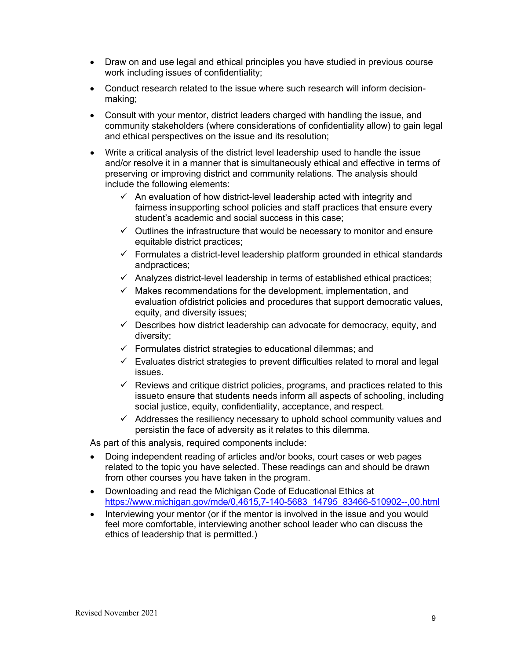- Draw on and use legal and ethical principles you have studied in previous course work including issues of confidentiality;
- Conduct research related to the issue where such research will inform decisionmaking;
- Consult with your mentor, district leaders charged with handling the issue, and community stakeholders (where considerations of confidentiality allow) to gain legal and ethical perspectives on the issue and its resolution;
- Write a critical analysis of the district level leadership used to handle the issue and/or resolve it in a manner that is simultaneously ethical and effective in terms of preserving or improving district and community relations. The analysis should include the following elements:
	- $\checkmark$  An evaluation of how district-level leadership acted with integrity and fairness insupporting school policies and staff practices that ensure every student's academic and social success in this case;
	- $\checkmark$  Outlines the infrastructure that would be necessary to monitor and ensure equitable district practices;
	- $\checkmark$  Formulates a district-level leadership platform grounded in ethical standards andpractices;
	- $\checkmark$  Analyzes district-level leadership in terms of established ethical practices;
	- $\checkmark$  Makes recommendations for the development, implementation, and evaluation ofdistrict policies and procedures that support democratic values, equity, and diversity issues;
	- $\checkmark$  Describes how district leadership can advocate for democracy, equity, and diversity;
	- $\checkmark$  Formulates district strategies to educational dilemmas; and
	- $\checkmark$  Evaluates district strategies to prevent difficulties related to moral and legal issues.
	- $\checkmark$  Reviews and critique district policies, programs, and practices related to this issueto ensure that students needs inform all aspects of schooling, including social justice, equity, confidentiality, acceptance, and respect.
	- $\checkmark$  Addresses the resiliency necessary to uphold school community values and persistin the face of adversity as it relates to this dilemma.

As part of this analysis, required components include:

- Doing independent reading of articles and/or books, court cases or web pages related to the topic you have selected. These readings can and should be drawn from other courses you have taken in the program.
- Downloading and read the Michigan Code of Educational Ethics at https://www.michigan.gov/mde/0,4615,7-140-5683\_14795\_83466-510902--,00.html
- Interviewing your mentor (or if the mentor is involved in the issue and you would feel more comfortable, interviewing another school leader who can discuss the ethics of leadership that is permitted.)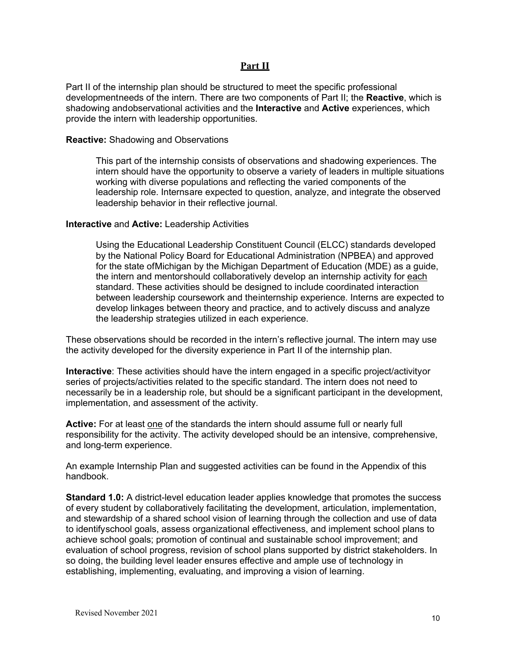#### **Part II**

Part II of the internship plan should be structured to meet the specific professional developmentneeds of the intern. There are two components of Part II; the **Reactive**, which is shadowing andobservational activities and the **Interactive** and **Active** experiences, which provide the intern with leadership opportunities.

#### **Reactive:** Shadowing and Observations

This part of the internship consists of observations and shadowing experiences. The intern should have the opportunity to observe a variety of leaders in multiple situations working with diverse populations and reflecting the varied components of the leadership role. Internsare expected to question, analyze, and integrate the observed leadership behavior in their reflective journal.

#### **Interactive** and **Active:** Leadership Activities

Using the Educational Leadership Constituent Council (ELCC) standards developed by the National Policy Board for Educational Administration (NPBEA) and approved for the state ofMichigan by the Michigan Department of Education (MDE) as a guide, the intern and mentorshould collaboratively develop an internship activity for each standard. These activities should be designed to include coordinated interaction between leadership coursework and theinternship experience. Interns are expected to develop linkages between theory and practice, and to actively discuss and analyze the leadership strategies utilized in each experience.

These observations should be recorded in the intern's reflective journal. The intern may use the activity developed for the diversity experience in Part II of the internship plan.

**Interactive**: These activities should have the intern engaged in a specific project/activityor series of projects/activities related to the specific standard. The intern does not need to necessarily be in a leadership role, but should be a significant participant in the development, implementation, and assessment of the activity.

**Active:** For at least one of the standards the intern should assume full or nearly full responsibility for the activity. The activity developed should be an intensive, comprehensive, and long-term experience.

An example Internship Plan and suggested activities can be found in the Appendix of this handbook.

**Standard 1.0:** A district-level education leader applies knowledge that promotes the success of every student by collaboratively facilitating the development, articulation, implementation, and stewardship of a shared school vision of learning through the collection and use of data to identifyschool goals, assess organizational effectiveness, and implement school plans to achieve school goals; promotion of continual and sustainable school improvement; and evaluation of school progress, revision of school plans supported by district stakeholders. In so doing, the building level leader ensures effective and ample use of technology in establishing, implementing, evaluating, and improving a vision of learning.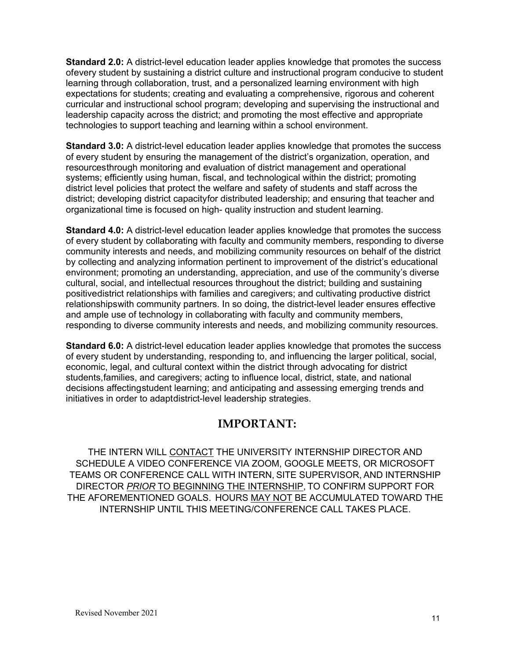**Standard 2.0:** A district-level education leader applies knowledge that promotes the success ofevery student by sustaining a district culture and instructional program conducive to student learning through collaboration, trust, and a personalized learning environment with high expectations for students; creating and evaluating a comprehensive, rigorous and coherent curricular and instructional school program; developing and supervising the instructional and leadership capacity across the district; and promoting the most effective and appropriate technologies to support teaching and learning within a school environment.

**Standard 3.0:** A district-level education leader applies knowledge that promotes the success of every student by ensuring the management of the district's organization, operation, and resourcesthrough monitoring and evaluation of district management and operational systems; efficiently using human, fiscal, and technological within the district; promoting district level policies that protect the welfare and safety of students and staff across the district; developing district capacityfor distributed leadership; and ensuring that teacher and organizational time is focused on high- quality instruction and student learning.

**Standard 4.0:** A district-level education leader applies knowledge that promotes the success of every student by collaborating with faculty and community members, responding to diverse community interests and needs, and mobilizing community resources on behalf of the district by collecting and analyzing information pertinent to improvement of the district's educational environment; promoting an understanding, appreciation, and use of the community's diverse cultural, social, and intellectual resources throughout the district; building and sustaining positivedistrict relationships with families and caregivers; and cultivating productive district relationshipswith community partners. In so doing, the district-level leader ensures effective and ample use of technology in collaborating with faculty and community members, responding to diverse community interests and needs, and mobilizing community resources.

**Standard 6.0:** A district-level education leader applies knowledge that promotes the success of every student by understanding, responding to, and influencing the larger political, social, economic, legal, and cultural context within the district through advocating for district students,families, and caregivers; acting to influence local, district, state, and national decisions affectingstudent learning; and anticipating and assessing emerging trends and initiatives in order to adaptdistrict-level leadership strategies.

## **IMPORTANT:**

THE INTERN WILL CONTACT THE UNIVERSITY INTERNSHIP DIRECTOR AND SCHEDULE A VIDEO CONFERENCE VIA ZOOM, GOOGLE MEETS, OR MICROSOFT TEAMS OR CONFERENCE CALL WITH INTERN, SITE SUPERVISOR, AND INTERNSHIP DIRECTOR *PRIOR* TO BEGINNING THE INTERNSHIP, TO CONFIRM SUPPORT FOR THE AFOREMENTIONED GOALS. HOURS MAY NOT BE ACCUMULATED TOWARD THE INTERNSHIP UNTIL THIS MEETING/CONFERENCE CALL TAKES PLACE.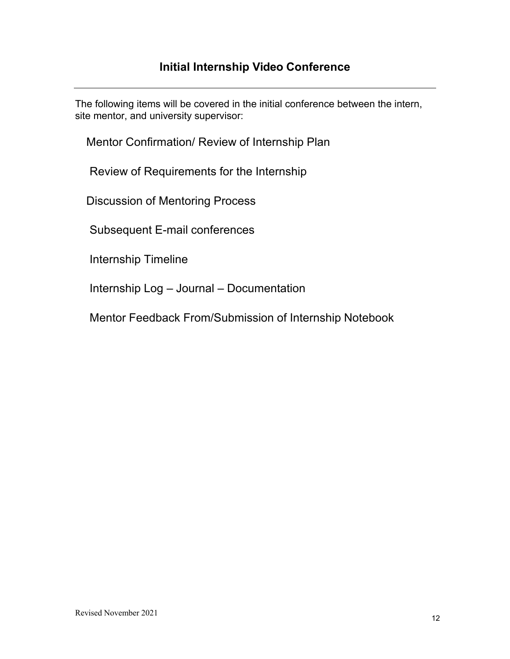The following items will be covered in the initial conference between the intern, site mentor, and university supervisor:

Mentor Confirmation/ Review of Internship Plan

Review of Requirements for the Internship

Discussion of Mentoring Process

Subsequent E-mail conferences

Internship Timeline

Internship Log – Journal – Documentation

Mentor Feedback From/Submission of Internship Notebook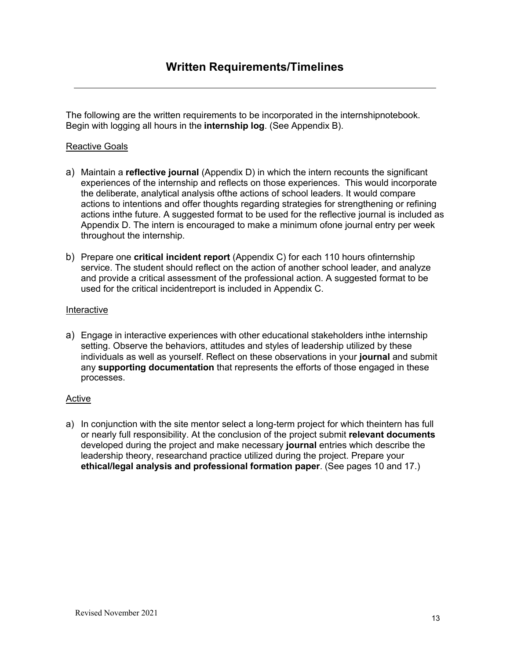The following are the written requirements to be incorporated in the internshipnotebook. Begin with logging all hours in the **internship log**. (See Appendix B).

#### Reactive Goals

- a) Maintain a **reflective journal** (Appendix D) in which the intern recounts the significant experiences of the internship and reflects on those experiences. This would incorporate the deliberate, analytical analysis ofthe actions of school leaders. It would compare actions to intentions and offer thoughts regarding strategies for strengthening or refining actions inthe future. A suggested format to be used for the reflective journal is included as Appendix D. The intern is encouraged to make a minimum ofone journal entry per week throughout the internship.
- b) Prepare one **critical incident report** (Appendix C) for each 110 hours ofinternship service. The student should reflect on the action of another school leader, and analyze and provide a critical assessment of the professional action. A suggested format to be used for the critical incidentreport is included in Appendix C.

#### Interactive

a) Engage in interactive experiences with other educational stakeholders inthe internship setting. Observe the behaviors, attitudes and styles of leadership utilized by these individuals as well as yourself. Reflect on these observations in your **journal** and submit any **supporting documentation** that represents the efforts of those engaged in these processes.

#### Active

a) In conjunction with the site mentor select a long-term project for which theintern has full or nearly full responsibility. At the conclusion of the project submit **relevant documents**  developed during the project and make necessary **journal** entries which describe the leadership theory, researchand practice utilized during the project. Prepare your **ethical/legal analysis and professional formation paper**. (See pages 10 and 17.)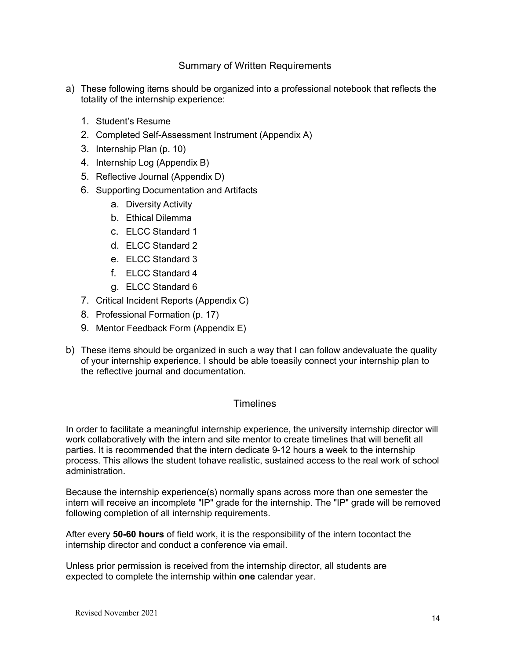#### Summary of Written Requirements

- a) These following items should be organized into a professional notebook that reflects the totality of the internship experience:
	- 1. Student's Resume
	- 2. Completed Self-Assessment Instrument (Appendix A)
	- 3. Internship Plan (p. 10)
	- 4. Internship Log (Appendix B)
	- 5. Reflective Journal (Appendix D)
	- 6. Supporting Documentation and Artifacts
		- a. Diversity Activity
		- b. Ethical Dilemma
		- c. ELCC Standard 1
		- d. ELCC Standard 2
		- e. ELCC Standard 3
		- f. ELCC Standard 4
		- g. ELCC Standard 6
	- 7. Critical Incident Reports (Appendix C)
	- 8. Professional Formation (p. 17)
	- 9. Mentor Feedback Form (Appendix E)
- b) These items should be organized in such a way that I can follow andevaluate the quality of your internship experience. I should be able toeasily connect your internship plan to the reflective journal and documentation.

#### **Timelines**

In order to facilitate a meaningful internship experience, the university internship director will work collaboratively with the intern and site mentor to create timelines that will benefit all parties. It is recommended that the intern dedicate 9-12 hours a week to the internship process. This allows the student tohave realistic, sustained access to the real work of school administration.

Because the internship experience(s) normally spans across more than one semester the intern will receive an incomplete "IP" grade for the internship. The "IP" grade will be removed following completion of all internship requirements.

After every **50-60 hours** of field work, it is the responsibility of the intern tocontact the internship director and conduct a conference via email.

Unless prior permission is received from the internship director, all students are expected to complete the internship within **one** calendar year.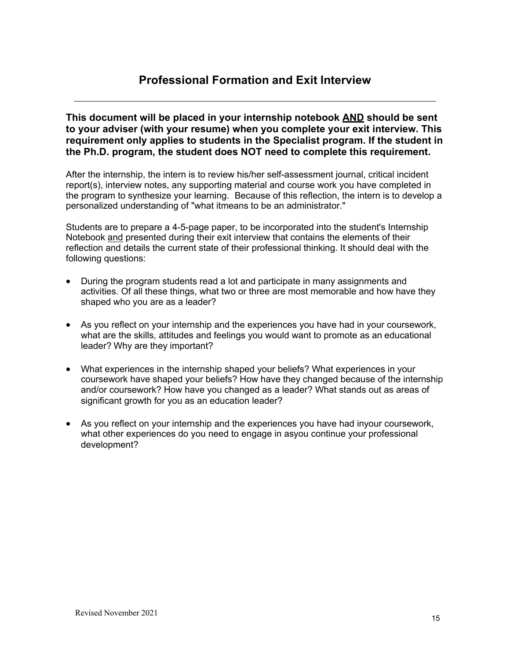## **Professional Formation and Exit Interview**

**This document will be placed in your internship notebook AND should be sent to your adviser (with your resume) when you complete your exit interview. This requirement only applies to students in the Specialist program. If the student in the Ph.D. program, the student does NOT need to complete this requirement.**

After the internship, the intern is to review his/her self-assessment journal, critical incident report(s), interview notes, any supporting material and course work you have completed in the program to synthesize your learning. Because of this reflection, the intern is to develop a personalized understanding of "what itmeans to be an administrator."

Students are to prepare a 4-5-page paper, to be incorporated into the student's Internship Notebook and presented during their exit interview that contains the elements of their reflection and details the current state of their professional thinking. It should deal with the following questions:

- During the program students read a lot and participate in many assignments and activities. Of all these things, what two or three are most memorable and how have they shaped who you are as a leader?
- As you reflect on your internship and the experiences you have had in your coursework, what are the skills, attitudes and feelings you would want to promote as an educational leader? Why are they important?
- What experiences in the internship shaped your beliefs? What experiences in your coursework have shaped your beliefs? How have they changed because of the internship and/or coursework? How have you changed as a leader? What stands out as areas of significant growth for you as an education leader?
- As you reflect on your internship and the experiences you have had inyour coursework, what other experiences do you need to engage in asyou continue your professional development?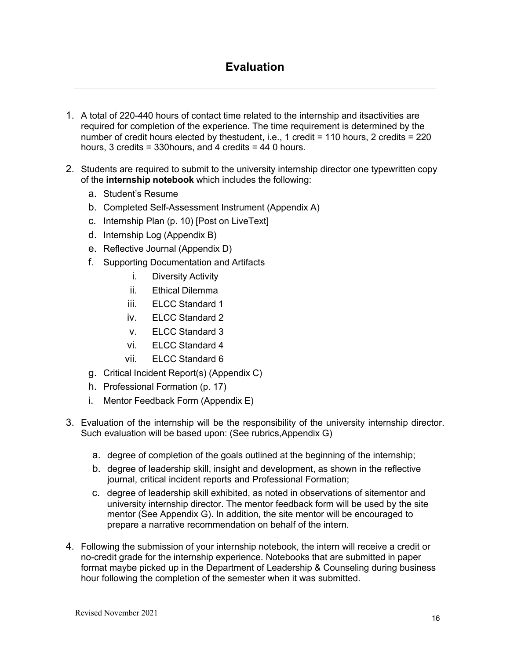# **Evaluation**

- 1. A total of 220-440 hours of contact time related to the internship and itsactivities are required for completion of the experience. The time requirement is determined by the number of credit hours elected by thestudent, i.e., 1 credit = 110 hours, 2 credits = 220 hours, 3 credits = 330hours, and 4 credits = 44 0 hours.
- 2. Students are required to submit to the university internship director one typewritten copy of the **internship notebook** which includes the following:
	- a. Student's Resume
	- b. Completed Self-Assessment Instrument (Appendix A)
	- c. Internship Plan (p. 10) [Post on LiveText]
	- d. Internship Log (Appendix B)
	- e. Reflective Journal (Appendix D)
	- f. Supporting Documentation and Artifacts
		- i. Diversity Activity
		- ii. Ethical Dilemma
		- iii. ELCC Standard 1
		- iv. ELCC Standard 2
		- v. ELCC Standard 3
		- vi. ELCC Standard 4
		- vii. ELCC Standard 6
	- g. Critical Incident Report(s) (Appendix C)
	- h. Professional Formation (p. 17)
	- i. Mentor Feedback Form (Appendix E)
- 3. Evaluation of the internship will be the responsibility of the university internship director. Such evaluation will be based upon: (See rubrics,Appendix G)
	- a. degree of completion of the goals outlined at the beginning of the internship;
	- b. degree of leadership skill, insight and development, as shown in the reflective journal, critical incident reports and Professional Formation;
	- c. degree of leadership skill exhibited, as noted in observations of sitementor and university internship director. The mentor feedback form will be used by the site mentor (See Appendix G). In addition, the site mentor will be encouraged to prepare a narrative recommendation on behalf of the intern.
- 4. Following the submission of your internship notebook, the intern will receive a credit or no-credit grade for the internship experience. Notebooks that are submitted in paper format maybe picked up in the Department of Leadership & Counseling during business hour following the completion of the semester when it was submitted.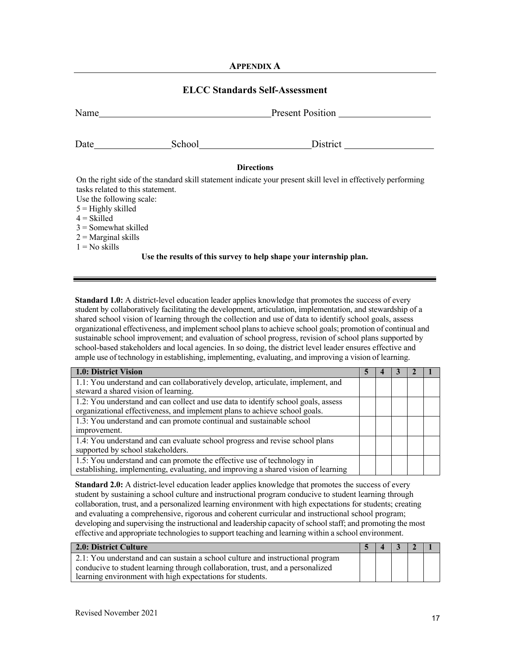#### **APPENDIX A**

#### **ELCC Standards Self-Assessment**

| Name                             |        | <b>Present Position</b>                                                                                       |
|----------------------------------|--------|---------------------------------------------------------------------------------------------------------------|
|                                  | School | District                                                                                                      |
|                                  |        | <b>Directions</b>                                                                                             |
|                                  |        | On the right side of the standard skill statement indicate your present skill level in effectively performing |
| tasks related to this statement. |        |                                                                                                               |
| Use the following scale:         |        |                                                                                                               |
| $5 =$ Highly skilled             |        |                                                                                                               |
| $4 = Skilled$                    |        |                                                                                                               |
| $3 =$ Somewhat skilled           |        |                                                                                                               |
| $2$ = Marginal skills            |        |                                                                                                               |
| $1 = No$ skills                  |        |                                                                                                               |
|                                  |        | Use the results of this survey to help shape your internship plan.                                            |

**Standard 1.0:** A district-level education leader applies knowledge that promotes the success of every student by collaboratively facilitating the development, articulation, implementation, and stewardship of a shared school vision of learning through the collection and use of data to identify school goals, assess organizational effectiveness, and implementschool plansto achieve school goals; promotion of continual and sustainable school improvement; and evaluation of school progress, revision of school plans supported by school-based stakeholders and local agencies. In so doing, the district level leader ensures effective and ample use of technology in establishing, implementing, evaluating, and improving a vision of learning.

| 1.0: District Vision                                                                                                                                            |  |  |  |
|-----------------------------------------------------------------------------------------------------------------------------------------------------------------|--|--|--|
| 1.1: You understand and can collaboratively develop, articulate, implement, and<br>steward a shared vision of learning.                                         |  |  |  |
| 1.2: You understand and can collect and use data to identify school goals, assess<br>organizational effectiveness, and implement plans to achieve school goals. |  |  |  |
| 1.3: You understand and can promote continual and sustainable school<br>improvement.                                                                            |  |  |  |
| 1.4: You understand and can evaluate school progress and revise school plans<br>supported by school stakeholders.                                               |  |  |  |
| 1.5: You understand and can promote the effective use of technology in<br>establishing, implementing, evaluating, and improving a shared vision of learning     |  |  |  |

**Standard 2.0:** A district-level education leader applies knowledge that promotes the success of every student by sustaining a school culture and instructional program conducive to student learning through collaboration, trust, and a personalized learning environment with high expectations for students; creating and evaluating a comprehensive, rigorous and coherent curricular and instructional school program; developing and supervising the instructional and leadership capacity of school staff; and promoting the most effective and appropriate technologiesto support teaching and learning within a school environment.

| 2.0: District Culture                                                          | $5 \mid 4$ |  | $3 \mid 2 \mid 1$ |  |
|--------------------------------------------------------------------------------|------------|--|-------------------|--|
| 2.1: You understand and can sustain a school culture and instructional program |            |  |                   |  |
| conducive to student learning through collaboration, trust, and a personalized |            |  |                   |  |
| learning environment with high expectations for students.                      |            |  |                   |  |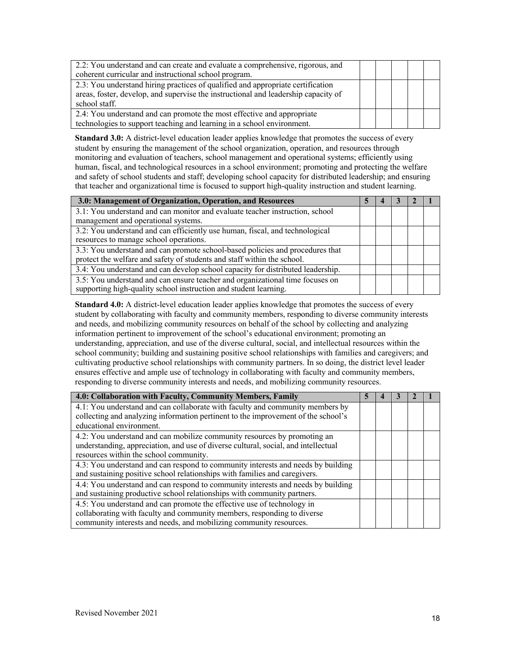| 2.2: You understand and can create and evaluate a comprehensive, rigorous, and     |  |  |  |
|------------------------------------------------------------------------------------|--|--|--|
| coherent curricular and instructional school program.                              |  |  |  |
| 2.3: You understand hiring practices of qualified and appropriate certification    |  |  |  |
| areas, foster, develop, and supervise the instructional and leadership capacity of |  |  |  |
| school staff.                                                                      |  |  |  |
| 2.4: You understand and can promote the most effective and appropriate             |  |  |  |
| technologies to support teaching and learning in a school environment.             |  |  |  |

**Standard 3.0:** A district-level education leader applies knowledge that promotes the success of every student by ensuring the management of the school organization, operation, and resources through monitoring and evaluation of teachers, school management and operational systems; efficiently using human, fiscal, and technological resources in a school environment; promoting and protecting the welfare and safety of school students and staff; developing school capacity for distributed leadership; and ensuring that teacher and organizational time is focused to support high-quality instruction and student learning.

| 3.0: Management of Organization, Operation, and Resources                       |  |  |  |
|---------------------------------------------------------------------------------|--|--|--|
| 3.1: You understand and can monitor and evaluate teacher instruction, school    |  |  |  |
| management and operational systems.                                             |  |  |  |
| 3.2: You understand and can efficiently use human, fiscal, and technological    |  |  |  |
| resources to manage school operations.                                          |  |  |  |
| 3.3: You understand and can promote school-based policies and procedures that   |  |  |  |
| protect the welfare and safety of students and staff within the school.         |  |  |  |
| 3.4: You understand and can develop school capacity for distributed leadership. |  |  |  |
| 3.5: You understand and can ensure teacher and organizational time focuses on   |  |  |  |
| supporting high-quality school instruction and student learning.                |  |  |  |

**Standard 4.0:** A district-level education leader applies knowledge that promotes the success of every student by collaborating with faculty and community members, responding to diverse community interests and needs, and mobilizing community resources on behalf of the school by collecting and analyzing information pertinent to improvement of the school's educational environment; promoting an understanding, appreciation, and use of the diverse cultural, social, and intellectual resources within the school community; building and sustaining positive school relationships with families and caregivers; and cultivating productive school relationships with community partners. In so doing, the district level leader ensures effective and ample use of technology in collaborating with faculty and community members, responding to diverse community interests and needs, and mobilizing community resources.

| 4.0: Collaboration with Faculty, Community Members, Family                         |  |  |  |
|------------------------------------------------------------------------------------|--|--|--|
| 4.1: You understand and can collaborate with faculty and community members by      |  |  |  |
| collecting and analyzing information pertinent to the improvement of the school's  |  |  |  |
| educational environment.                                                           |  |  |  |
| 4.2: You understand and can mobilize community resources by promoting an           |  |  |  |
| understanding, appreciation, and use of diverse cultural, social, and intellectual |  |  |  |
| resources within the school community.                                             |  |  |  |
| 4.3: You understand and can respond to community interests and needs by building   |  |  |  |
| and sustaining positive school relationships with families and caregivers.         |  |  |  |
| 4.4: You understand and can respond to community interests and needs by building   |  |  |  |
| and sustaining productive school relationships with community partners.            |  |  |  |
| 4.5: You understand and can promote the effective use of technology in             |  |  |  |
| collaborating with faculty and community members, responding to diverse            |  |  |  |
| community interests and needs, and mobilizing community resources.                 |  |  |  |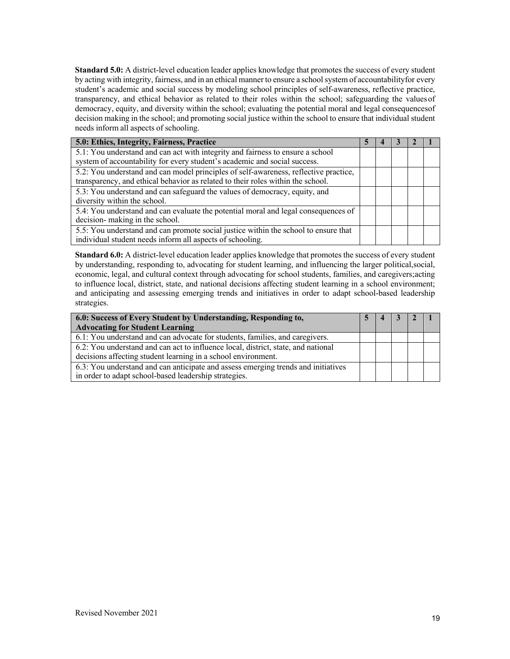**Standard 5.0:** A district-level education leader applies knowledge that promotes the success of every student by acting with integrity, fairness, and in an ethical manner to ensure a schoolsystem of accountabilityfor every student's academic and social success by modeling school principles of self-awareness, reflective practice, transparency, and ethical behavior as related to their roles within the school; safeguarding the valuesof democracy, equity, and diversity within the school; evaluating the potential moral and legal consequencesof decision making in the school; and promoting social justice within the school to ensure that individual student needs inform all aspects of schooling.

| 5.0: Ethics, Integrity, Fairness, Practice                                                                                                       |  |  |  |
|--------------------------------------------------------------------------------------------------------------------------------------------------|--|--|--|
| 5.1: You understand and can act with integrity and fairness to ensure a school                                                                   |  |  |  |
| system of accountability for every student's academic and social success.                                                                        |  |  |  |
| 5.2: You understand and can model principles of self-awareness, reflective practice,                                                             |  |  |  |
| transparency, and ethical behavior as related to their roles within the school.                                                                  |  |  |  |
| 5.3: You understand and can safeguard the values of democracy, equity, and                                                                       |  |  |  |
| diversity within the school.                                                                                                                     |  |  |  |
| 5.4: You understand and can evaluate the potential moral and legal consequences of<br>decision- making in the school.                            |  |  |  |
| 5.5: You understand and can promote social justice within the school to ensure that<br>individual student needs inform all aspects of schooling. |  |  |  |

**Standard 6.0:** A district-level education leader applies knowledge that promotes the success of every student by understanding, responding to, advocating for student learning, and influencing the larger political,social, economic, legal, and cultural context through advocating for school students, families, and caregivers;acting to influence local, district, state, and national decisions affecting student learning in a school environment; and anticipating and assessing emerging trends and initiatives in order to adapt school-based leadership strategies.

| 6.0: Success of Every Student by Understanding, Responding to,                                                                                     | 4 | $\blacksquare$ 3 |  |
|----------------------------------------------------------------------------------------------------------------------------------------------------|---|------------------|--|
| <b>Advocating for Student Learning</b>                                                                                                             |   |                  |  |
| $\overline{6.1}$ : You understand and can advocate for students, families, and caregivers.                                                         |   |                  |  |
| 6.2: You understand and can act to influence local, district, state, and national<br>decisions affecting student learning in a school environment. |   |                  |  |
| 6.3: You understand and can anticipate and assess emerging trends and initiatives<br>in order to adapt school-based leadership strategies.         |   |                  |  |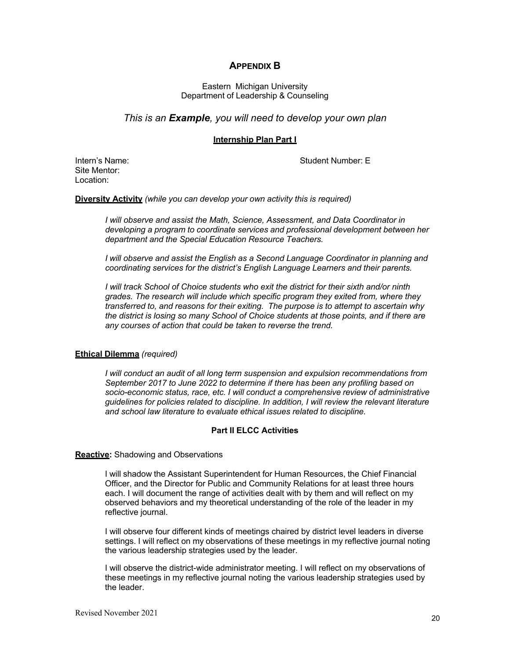#### **APPENDIX B**

#### Eastern Michigan University Department of Leadership & Counseling

#### *This is an Example, you will need to develop your own plan*

#### **Internship Plan Part I**

Intern's Name: Student Number: E

Site Mentor: Location:

**Diversity Activity** *(while you can develop your own activity this is required)*

*I will observe and assist the Math, Science, Assessment, and Data Coordinator in developing a program to coordinate services and professional development between her department and the Special Education Resource Teachers.*

*I will observe and assist the English as a Second Language Coordinator in planning and coordinating services for the district's English Language Learners and their parents.*

*I will track School of Choice students who exit the district for their sixth and/or ninth grades. The research will include which specific program they exited from, where they transferred to, and reasons for their exiting. The purpose is to attempt to ascertain why the district is losing so many School of Choice students at those points, and if there are any courses of action that could be taken to reverse the trend.*

#### **Ethical Dilemma** *(required)*

*I will conduct an audit of all long term suspension and expulsion recommendations from September 2017 to June 2022 to determine if there has been any profiling based on socio-economic status, race, etc. I will conduct a comprehensive review of administrative guidelines for policies related to discipline. In addition, I will review the relevant literature and school law literature to evaluate ethical issues related to discipline.*

#### **Part II ELCC Activities**

#### **Reactive:** Shadowing and Observations

I will shadow the Assistant Superintendent for Human Resources, the Chief Financial Officer, and the Director for Public and Community Relations for at least three hours each. I will document the range of activities dealt with by them and will reflect on my observed behaviors and my theoretical understanding of the role of the leader in my reflective journal.

I will observe four different kinds of meetings chaired by district level leaders in diverse settings. I will reflect on my observations of these meetings in my reflective journal noting the various leadership strategies used by the leader.

I will observe the district-wide administrator meeting. I will reflect on my observations of these meetings in my reflective journal noting the various leadership strategies used by the leader.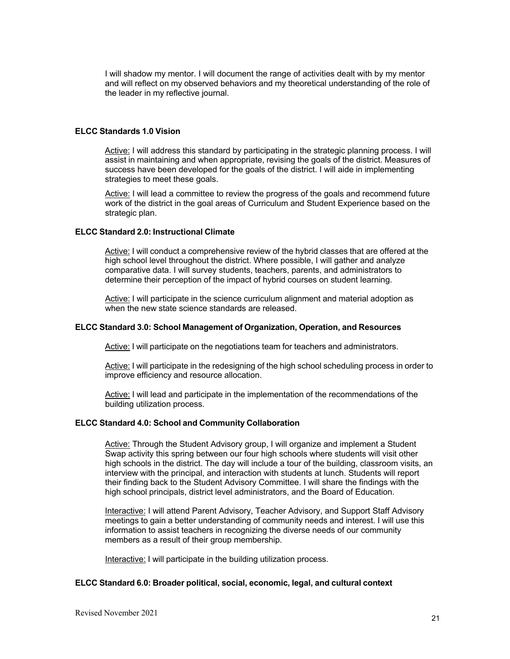I will shadow my mentor. I will document the range of activities dealt with by my mentor and will reflect on my observed behaviors and my theoretical understanding of the role of the leader in my reflective journal.

#### **ELCC Standards 1.0 Vision**

Active: I will address this standard by participating in the strategic planning process. I will assist in maintaining and when appropriate, revising the goals of the district. Measures of success have been developed for the goals of the district. I will aide in implementing strategies to meet these goals.

Active: I will lead a committee to review the progress of the goals and recommend future work of the district in the goal areas of Curriculum and Student Experience based on the strategic plan.

#### **ELCC Standard 2.0: Instructional Climate**

Active: I will conduct a comprehensive review of the hybrid classes that are offered at the high school level throughout the district. Where possible, I will gather and analyze comparative data. I will survey students, teachers, parents, and administrators to determine their perception of the impact of hybrid courses on student learning.

Active: I will participate in the science curriculum alignment and material adoption as when the new state science standards are released.

#### **ELCC Standard 3.0: School Management of Organization, Operation, and Resources**

Active: I will participate on the negotiations team for teachers and administrators.

Active: I will participate in the redesigning of the high school scheduling process in order to improve efficiency and resource allocation.

Active: I will lead and participate in the implementation of the recommendations of the building utilization process.

#### **ELCC Standard 4.0: School and Community Collaboration**

Active: Through the Student Advisory group, I will organize and implement a Student Swap activity this spring between our four high schools where students will visit other high schools in the district. The day will include a tour of the building, classroom visits, an interview with the principal, and interaction with students at lunch. Students will report their finding back to the Student Advisory Committee. I will share the findings with the high school principals, district level administrators, and the Board of Education.

Interactive: I will attend Parent Advisory, Teacher Advisory, and Support Staff Advisory meetings to gain a better understanding of community needs and interest. I will use this information to assist teachers in recognizing the diverse needs of our community members as a result of their group membership.

Interactive: I will participate in the building utilization process.

#### **ELCC Standard 6.0: Broader political, social, economic, legal, and cultural context**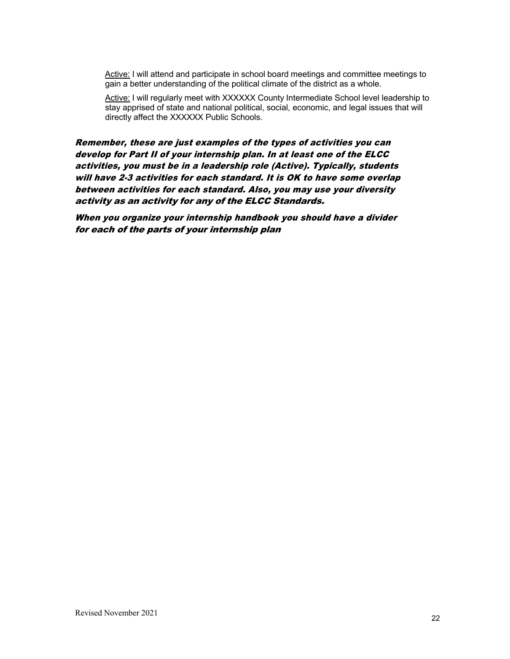Active: I will attend and participate in school board meetings and committee meetings to gain a better understanding of the political climate of the district as a whole.

Active: I will regularly meet with XXXXXX County Intermediate School level leadership to stay apprised of state and national political, social, economic, and legal issues that will directly affect the XXXXXX Public Schools.

Remember, these are just examples of the types of activities you can develop for Part II of your internship plan. In at least one of the ELCC activities, you must be in a leadership role (Active). Typically, students will have 2-3 activities for each standard. It is OK to have some overlap between activities for each standard. Also, you may use your diversity activity as an activity for any of the ELCC Standards.

When you organize your internship handbook you should have a divider for each of the parts of your internship plan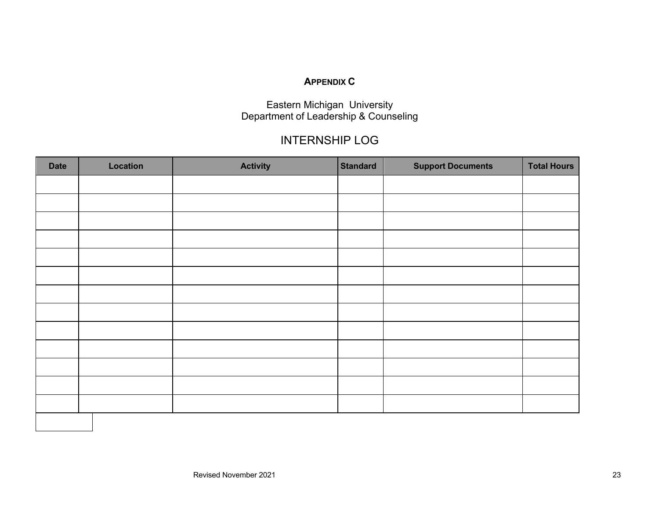#### **APPENDIX C**

Eastern Michigan University Department of Leadership & Counseling

# INTERNSHIP LOG

| <b>Date</b> | Location | <b>Activity</b> | <b>Standard</b> | <b>Support Documents</b> | <b>Total Hours</b> |
|-------------|----------|-----------------|-----------------|--------------------------|--------------------|
|             |          |                 |                 |                          |                    |
|             |          |                 |                 |                          |                    |
|             |          |                 |                 |                          |                    |
|             |          |                 |                 |                          |                    |
|             |          |                 |                 |                          |                    |
|             |          |                 |                 |                          |                    |
|             |          |                 |                 |                          |                    |
|             |          |                 |                 |                          |                    |
|             |          |                 |                 |                          |                    |
|             |          |                 |                 |                          |                    |
|             |          |                 |                 |                          |                    |
|             |          |                 |                 |                          |                    |
|             |          |                 |                 |                          |                    |
|             |          |                 |                 |                          |                    |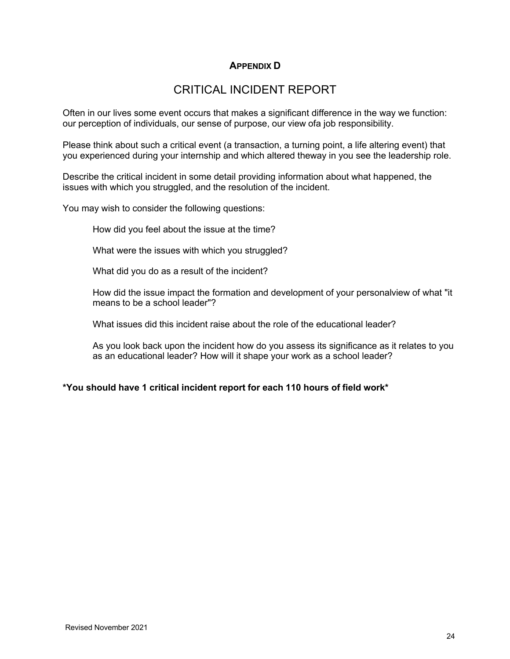#### **APPENDIX D**

### CRITICAL INCIDENT REPORT

Often in our lives some event occurs that makes a significant difference in the way we function: our perception of individuals, our sense of purpose, our view ofa job responsibility.

Please think about such a critical event (a transaction, a turning point, a life altering event) that you experienced during your internship and which altered theway in you see the leadership role.

Describe the critical incident in some detail providing information about what happened, the issues with which you struggled, and the resolution of the incident.

You may wish to consider the following questions:

How did you feel about the issue at the time?

What were the issues with which you struggled?

What did you do as a result of the incident?

How did the issue impact the formation and development of your personalview of what "it means to be a school leader"?

What issues did this incident raise about the role of the educational leader?

As you look back upon the incident how do you assess its significance as it relates to you as an educational leader? How will it shape your work as a school leader?

#### **\*You should have 1 critical incident report for each 110 hours of field work\***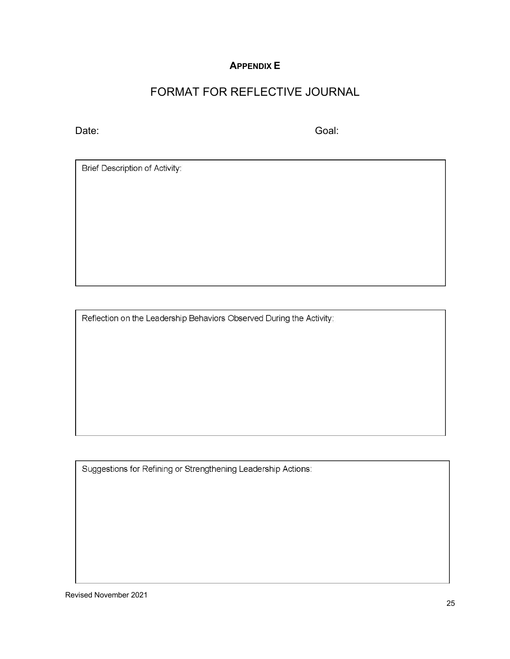#### **APPENDIX E**

# FORMAT FOR REFLECTIVE JOURNAL

Date: Goal: Goal: Goal: Goal: Goal: Goal: Goal: Goal: Goal: Goal: Goal: Goal: Goal: Goal: Goal: Goal: Goal: Goal: Goal: Goal: Goal: Goal: Goal: Goal: Goal: Goal: Goal: Goal: Goal: Goal: Goal: Goal: Goal: Goal: Goal: Goal:

Brief Description of Activity:

Reflection on the Leadership Behaviors Observed During the Activity:

Suggestions for Refining or Strengthening Leadership Actions:

Revised November 2021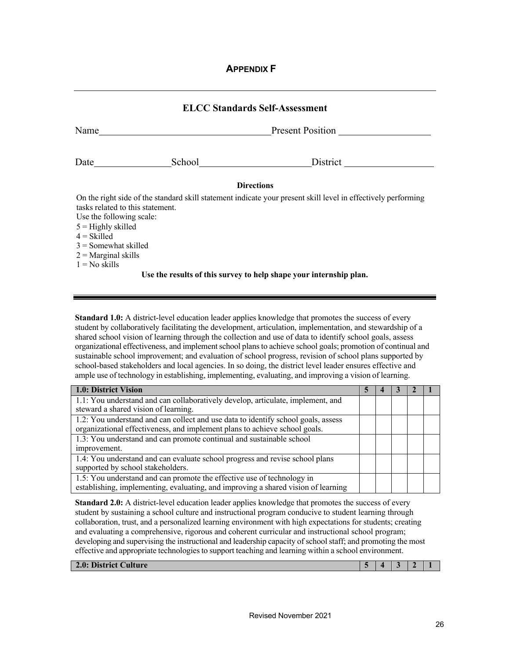#### **APPENDIX F**

| <b>ELCC Standards Self-Assessment</b>                        |                     |                                                                                                               |  |  |
|--------------------------------------------------------------|---------------------|---------------------------------------------------------------------------------------------------------------|--|--|
| Name                                                         |                     | Present Position                                                                                              |  |  |
| Date $\frac{ }{ }$                                           | School <u>_____</u> |                                                                                                               |  |  |
|                                                              |                     | <b>Directions</b>                                                                                             |  |  |
|                                                              |                     | On the right side of the standard skill statement indicate your present skill level in effectively performing |  |  |
| tasks related to this statement.<br>Use the following scale: |                     |                                                                                                               |  |  |
| $5 =$ Highly skilled                                         |                     |                                                                                                               |  |  |
| $4 = Skilled$                                                |                     |                                                                                                               |  |  |
| $3$ = Somewhat skilled                                       |                     |                                                                                                               |  |  |
| $2$ = Marginal skills                                        |                     |                                                                                                               |  |  |
| $1 = No$ skills                                              |                     |                                                                                                               |  |  |
|                                                              |                     | Use the results of this survey to help shape your internship plan.                                            |  |  |

**Standard 1.0:** A district-level education leader applies knowledge that promotes the success of every student by collaboratively facilitating the development, articulation, implementation, and stewardship of a shared school vision of learning through the collection and use of data to identify school goals, assess organizational effectiveness, and implementschool plansto achieve school goals; promotion of continual and sustainable school improvement; and evaluation of school progress, revision of school plans supported by school-based stakeholders and local agencies. In so doing, the district level leader ensures effective and ample use of technology in establishing, implementing, evaluating, and improving a vision of learning.

| 1.0: District Vision                                                                                                                                            |  |  |  |
|-----------------------------------------------------------------------------------------------------------------------------------------------------------------|--|--|--|
| 1.1: You understand and can collaboratively develop, articulate, implement, and<br>steward a shared vision of learning.                                         |  |  |  |
| 1.2: You understand and can collect and use data to identify school goals, assess<br>organizational effectiveness, and implement plans to achieve school goals. |  |  |  |
| 1.3: You understand and can promote continual and sustainable school<br>improvement.                                                                            |  |  |  |
| 1.4: You understand and can evaluate school progress and revise school plans<br>supported by school stakeholders.                                               |  |  |  |
| 1.5: You understand and can promote the effective use of technology in<br>establishing, implementing, evaluating, and improving a shared vision of learning     |  |  |  |

**Standard 2.0:** A district-level education leader applies knowledge that promotes the success of every student by sustaining a school culture and instructional program conducive to student learning through collaboration, trust, and a personalized learning environment with high expectations for students; creating and evaluating a comprehensive, rigorous and coherent curricular and instructional school program; developing and supervising the instructional and leadership capacity of school staff; and promoting the most effective and appropriate technologiesto support teaching and learning within a school environment.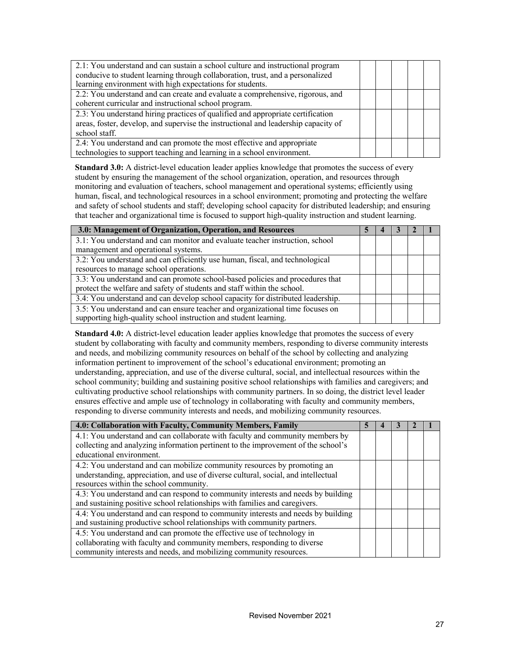| 2.1: You understand and can sustain a school culture and instructional program<br>conducive to student learning through collaboration, trust, and a personalized<br>learning environment with high expectations for students. |  |  |  |
|-------------------------------------------------------------------------------------------------------------------------------------------------------------------------------------------------------------------------------|--|--|--|
| 2.2: You understand and can create and evaluate a comprehensive, rigorous, and<br>coherent curricular and instructional school program.                                                                                       |  |  |  |
| 2.3: You understand hiring practices of qualified and appropriate certification<br>areas, foster, develop, and supervise the instructional and leadership capacity of<br>school staff.                                        |  |  |  |
| 2.4: You understand and can promote the most effective and appropriate<br>technologies to support teaching and learning in a school environment.                                                                              |  |  |  |

**Standard 3.0:** A district-level education leader applies knowledge that promotes the success of every student by ensuring the management of the school organization, operation, and resources through monitoring and evaluation of teachers, school management and operational systems; efficiently using human, fiscal, and technological resources in a school environment; promoting and protecting the welfare and safety of school students and staff; developing school capacity for distributed leadership; and ensuring that teacher and organizational time is focused to support high-quality instruction and student learning.

| 3.0: Management of Organization, Operation, and Resources                       |  |  |  |
|---------------------------------------------------------------------------------|--|--|--|
| 3.1: You understand and can monitor and evaluate teacher instruction, school    |  |  |  |
| management and operational systems.                                             |  |  |  |
| 3.2: You understand and can efficiently use human, fiscal, and technological    |  |  |  |
| resources to manage school operations.                                          |  |  |  |
| 3.3: You understand and can promote school-based policies and procedures that   |  |  |  |
| protect the welfare and safety of students and staff within the school.         |  |  |  |
| 3.4: You understand and can develop school capacity for distributed leadership. |  |  |  |
| 3.5: You understand and can ensure teacher and organizational time focuses on   |  |  |  |
| supporting high-quality school instruction and student learning.                |  |  |  |

**Standard 4.0:** A district-level education leader applies knowledge that promotes the success of every student by collaborating with faculty and community members, responding to diverse community interests and needs, and mobilizing community resources on behalf of the school by collecting and analyzing information pertinent to improvement of the school's educational environment; promoting an understanding, appreciation, and use of the diverse cultural, social, and intellectual resources within the school community; building and sustaining positive school relationships with families and caregivers; and cultivating productive school relationships with community partners. In so doing, the district level leader ensures effective and ample use of technology in collaborating with faculty and community members, responding to diverse community interests and needs, and mobilizing community resources.

| 4.0: Collaboration with Faculty, Community Members, Family                         | ╮ |  |  |
|------------------------------------------------------------------------------------|---|--|--|
| 4.1: You understand and can collaborate with faculty and community members by      |   |  |  |
| collecting and analyzing information pertinent to the improvement of the school's  |   |  |  |
| educational environment.                                                           |   |  |  |
| 4.2: You understand and can mobilize community resources by promoting an           |   |  |  |
| understanding, appreciation, and use of diverse cultural, social, and intellectual |   |  |  |
| resources within the school community.                                             |   |  |  |
| 4.3: You understand and can respond to community interests and needs by building   |   |  |  |
| and sustaining positive school relationships with families and caregivers.         |   |  |  |
| 4.4: You understand and can respond to community interests and needs by building   |   |  |  |
| and sustaining productive school relationships with community partners.            |   |  |  |
| 4.5: You understand and can promote the effective use of technology in             |   |  |  |
| collaborating with faculty and community members, responding to diverse            |   |  |  |
| community interests and needs, and mobilizing community resources.                 |   |  |  |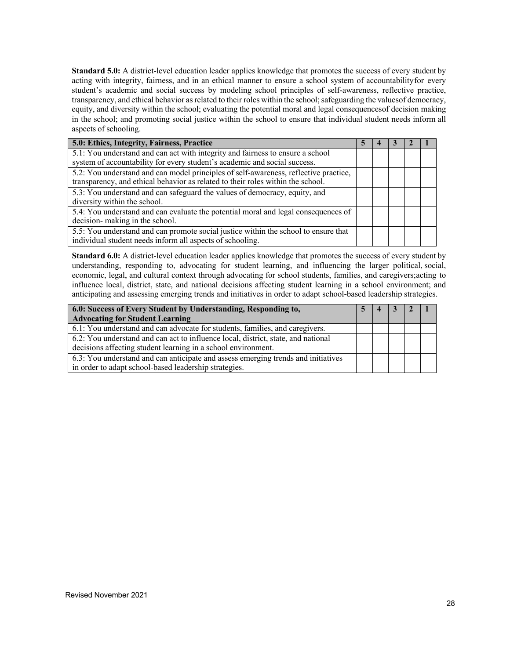**Standard 5.0:** A district-level education leader applies knowledge that promotes the success of every student by acting with integrity, fairness, and in an ethical manner to ensure a school system of accountabilityfor every student's academic and social success by modeling school principles of self-awareness, reflective practice, transparency, and ethical behavior as related to their roles within the school; safeguarding the values of democracy, equity, and diversity within the school; evaluating the potential moral and legal consequencesof decision making in the school; and promoting social justice within the school to ensure that individual student needs inform all aspects of schooling.

| 5.0: Ethics, Integrity, Fairness, Practice                                                                                                                              |  |  |  |  |
|-------------------------------------------------------------------------------------------------------------------------------------------------------------------------|--|--|--|--|
| 5.1: You understand and can act with integrity and fairness to ensure a school<br>system of accountability for every student's academic and social success.             |  |  |  |  |
| 5.2: You understand and can model principles of self-awareness, reflective practice,<br>transparency, and ethical behavior as related to their roles within the school. |  |  |  |  |
| 5.3: You understand and can safeguard the values of democracy, equity, and<br>diversity within the school.                                                              |  |  |  |  |
| 5.4: You understand and can evaluate the potential moral and legal consequences of<br>decision- making in the school.                                                   |  |  |  |  |
| 5.5: You understand and can promote social justice within the school to ensure that<br>individual student needs inform all aspects of schooling.                        |  |  |  |  |

**Standard 6.0:** A district-level education leader applies knowledge that promotes the success of every student by understanding, responding to, advocating for student learning, and influencing the larger political, social, economic, legal, and cultural context through advocating for school students, families, and caregivers;acting to influence local, district, state, and national decisions affecting student learning in a school environment; and anticipating and assessing emerging trends and initiatives in order to adapt school-based leadership strategies.

| 6.0: Success of Every Student by Understanding, Responding to,                             |  | 4 |  |  |
|--------------------------------------------------------------------------------------------|--|---|--|--|
| <b>Advocating for Student Learning</b>                                                     |  |   |  |  |
| $\overline{6.1}$ : You understand and can advocate for students, families, and caregivers. |  |   |  |  |
| 6.2: You understand and can act to influence local, district, state, and national          |  |   |  |  |
| decisions affecting student learning in a school environment.                              |  |   |  |  |
| 6.3: You understand and can anticipate and assess emerging trends and initiatives          |  |   |  |  |
| in order to adapt school-based leadership strategies.                                      |  |   |  |  |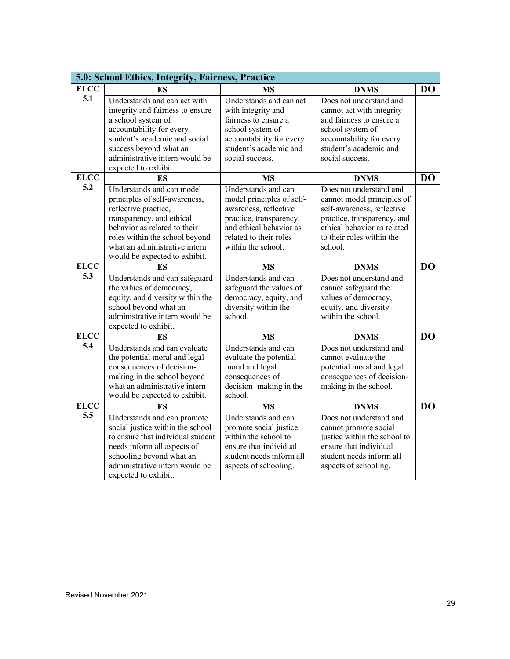|             | 5.0: School Ethics, Integrity, Fairness, Practice                |                                                    |                                                            |                |
|-------------|------------------------------------------------------------------|----------------------------------------------------|------------------------------------------------------------|----------------|
| <b>ELCC</b> | ES                                                               | <b>MS</b>                                          | <b>DNMS</b>                                                | D <sub>O</sub> |
| 5.1         | Understands and can act with<br>integrity and fairness to ensure | Understands and can act<br>with integrity and      | Does not understand and<br>cannot act with integrity       |                |
|             | a school system of                                               | fairness to ensure a                               | and fairness to ensure a                                   |                |
|             | accountability for every                                         | school system of                                   | school system of                                           |                |
|             | student's academic and social                                    | accountability for every                           | accountability for every                                   |                |
|             | success beyond what an                                           | student's academic and                             | student's academic and                                     |                |
|             | administrative intern would be                                   | social success.                                    | social success.                                            |                |
|             | expected to exhibit.                                             |                                                    |                                                            |                |
| <b>ELCC</b> | ES                                                               | <b>MS</b>                                          | <b>DNMS</b>                                                | DO             |
| 5.2         | Understands and can model                                        | Understands and can                                | Does not understand and                                    |                |
|             | principles of self-awareness,                                    | model principles of self-                          | cannot model principles of                                 |                |
|             | reflective practice,                                             | awareness, reflective                              | self-awareness, reflective                                 |                |
|             | transparency, and ethical<br>behavior as related to their        | practice, transparency,<br>and ethical behavior as | practice, transparency, and<br>ethical behavior as related |                |
|             | roles within the school beyond                                   | related to their roles                             | to their roles within the                                  |                |
|             | what an administrative intern                                    | within the school.                                 | school.                                                    |                |
|             | would be expected to exhibit.                                    |                                                    |                                                            |                |
| <b>ELCC</b> | <b>ES</b>                                                        | <b>MS</b>                                          | <b>DNMS</b>                                                | D <sub>O</sub> |
| 5.3         | Understands and can safeguard                                    | Understands and can                                | Does not understand and                                    |                |
|             | the values of democracy,                                         | safeguard the values of                            | cannot safeguard the                                       |                |
|             | equity, and diversity within the                                 | democracy, equity, and                             | values of democracy,                                       |                |
|             | school beyond what an                                            | diversity within the                               | equity, and diversity                                      |                |
|             | administrative intern would be<br>expected to exhibit.           | school.                                            | within the school.                                         |                |
| <b>ELCC</b> | ES                                                               | <b>MS</b>                                          | <b>DNMS</b>                                                | D <sub>O</sub> |
| 5.4         | Understands and can evaluate                                     | Understands and can                                | Does not understand and                                    |                |
|             | the potential moral and legal                                    | evaluate the potential                             | cannot evaluate the                                        |                |
|             | consequences of decision-                                        | moral and legal                                    | potential moral and legal                                  |                |
|             | making in the school beyond                                      | consequences of                                    | consequences of decision-                                  |                |
|             | what an administrative intern                                    | decision-making in the                             | making in the school.                                      |                |
|             | would be expected to exhibit.                                    | school.                                            |                                                            |                |
| <b>ELCC</b> |                                                                  |                                                    |                                                            | D <sub>O</sub> |
| 5.5         | ES                                                               | <b>MS</b>                                          | <b>DNMS</b>                                                |                |
|             | Understands and can promote                                      | Understands and can                                | Does not understand and                                    |                |
|             | social justice within the school                                 | promote social justice                             | cannot promote social                                      |                |
|             | to ensure that individual student                                | within the school to                               | justice within the school to                               |                |
|             | needs inform all aspects of                                      | ensure that individual                             | ensure that individual                                     |                |
|             | schooling beyond what an<br>administrative intern would be       | student needs inform all<br>aspects of schooling.  | student needs inform all<br>aspects of schooling.          |                |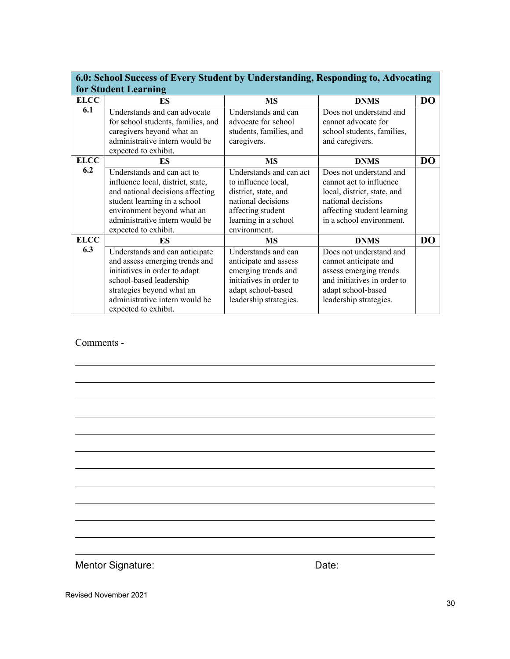|             | 6.0: School Success of Every Student by Understanding, Responding to, Advocating |                         |                             |                |  |  |  |  |  |  |
|-------------|----------------------------------------------------------------------------------|-------------------------|-----------------------------|----------------|--|--|--|--|--|--|
|             | for Student Learning                                                             |                         |                             |                |  |  |  |  |  |  |
| <b>ELCC</b> | ES                                                                               | <b>MS</b>               | <b>DNMS</b>                 | D <sub>O</sub> |  |  |  |  |  |  |
| 6.1         | Understands and can advocate                                                     | Understands and can     | Does not understand and     |                |  |  |  |  |  |  |
|             | for school students, families, and                                               | advocate for school     | cannot advocate for         |                |  |  |  |  |  |  |
|             | caregivers beyond what an                                                        | students, families, and | school students, families,  |                |  |  |  |  |  |  |
|             | administrative intern would be                                                   | caregivers.             | and caregivers.             |                |  |  |  |  |  |  |
|             | expected to exhibit.                                                             |                         |                             |                |  |  |  |  |  |  |
| <b>ELCC</b> | ES                                                                               | MS                      | <b>DNMS</b>                 | D <sub>O</sub> |  |  |  |  |  |  |
| 6.2         | Understands and can act to                                                       | Understands and can act | Does not understand and     |                |  |  |  |  |  |  |
|             | influence local, district, state,                                                | to influence local,     | cannot act to influence     |                |  |  |  |  |  |  |
|             | and national decisions affecting                                                 | district, state, and    | local, district, state, and |                |  |  |  |  |  |  |
|             | student learning in a school                                                     | national decisions      | national decisions          |                |  |  |  |  |  |  |
|             | environment beyond what an                                                       | affecting student       | affecting student learning  |                |  |  |  |  |  |  |
|             | administrative intern would be                                                   | learning in a school    | in a school environment.    |                |  |  |  |  |  |  |
|             | expected to exhibit.                                                             | environment.            |                             |                |  |  |  |  |  |  |
| <b>ELCC</b> | ES                                                                               | <b>MS</b>               | <b>DNMS</b>                 | <b>DO</b>      |  |  |  |  |  |  |
| 6.3         | Understands and can anticipate                                                   | Understands and can     | Does not understand and     |                |  |  |  |  |  |  |
|             | and assess emerging trends and                                                   | anticipate and assess   | cannot anticipate and       |                |  |  |  |  |  |  |
|             | initiatives in order to adapt                                                    | emerging trends and     | assess emerging trends      |                |  |  |  |  |  |  |
|             | school-based leadership                                                          | initiatives in order to | and initiatives in order to |                |  |  |  |  |  |  |
|             | strategies beyond what an                                                        | adapt school-based      | adapt school-based          |                |  |  |  |  |  |  |
|             | administrative intern would be                                                   | leadership strategies.  | leadership strategies.      |                |  |  |  |  |  |  |
|             | expected to exhibit.                                                             |                         |                             |                |  |  |  |  |  |  |

#### Comments -

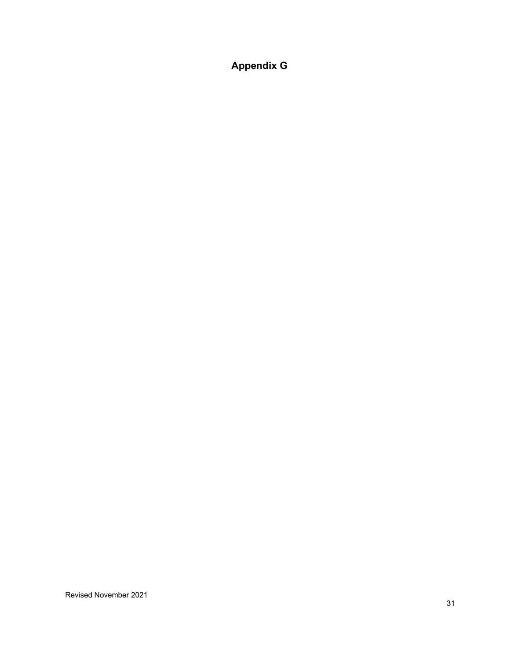# **Appendix G**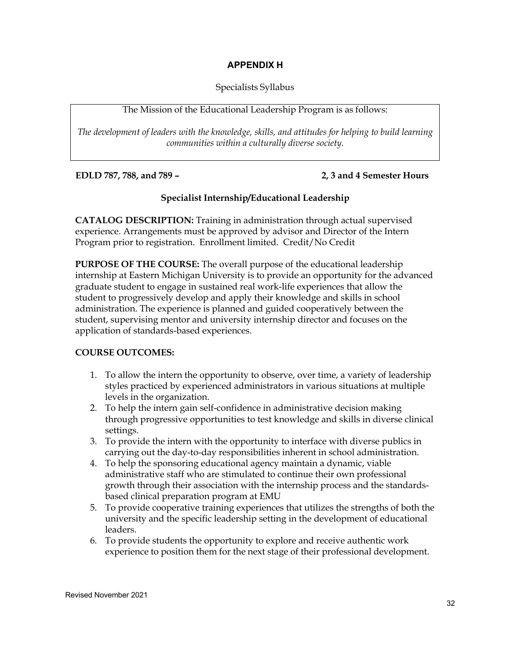#### **APPENDIX H**

#### Specialists Syllabus

#### The Mission of the Educational Leadership Program is as follows:

*The development of leaders with the knowledge, skills, and attitudes for helping to build learning communities within a culturally diverse society.*

#### **EDLD 787, 788, and 789 – 2, 3 and 4 Semester Hours**

#### **Specialist Internship/Educational Leadership**

**CATALOG DESCRIPTION:** Training in administration through actual supervised experience. Arrangements must be approved by advisor and Director of the Intern Program prior to registration. Enrollment limited. Credit/No Credit

**PURPOSE OF THE COURSE:** The overall purpose of the educational leadership internship at Eastern Michigan University is to provide an opportunity for the advanced graduate student to engage in sustained real work-life experiences that allow the student to progressively develop and apply their knowledge and skills in school administration. The experience is planned and guided cooperatively between the student, supervising mentor and university internship director and focuses on the application of standards-based experiences.

#### **COURSE OUTCOMES:**

- 1. To allow the intern the opportunity to observe, over time, a variety of leadership styles practiced by experienced administrators in various situations at multiple levels in the organization.
- 2. To help the intern gain self-confidence in administrative decision making through progressive opportunities to test knowledge and skills in diverse clinical settings.
- 3. To provide the intern with the opportunity to interface with diverse publics in carrying out the day-to-day responsibilities inherent in school administration.
- 4. To help the sponsoring educational agency maintain a dynamic, viable administrative staff who are stimulated to continue their own professional growth through their association with the internship process and the standardsbased clinical preparation program at EMU
- 5. To provide cooperative training experiences that utilizes the strengths of both the university and the specific leadership setting in the development of educational leaders.
- 6. To provide students the opportunity to explore and receive authentic work experience to position them for the next stage of their professional development.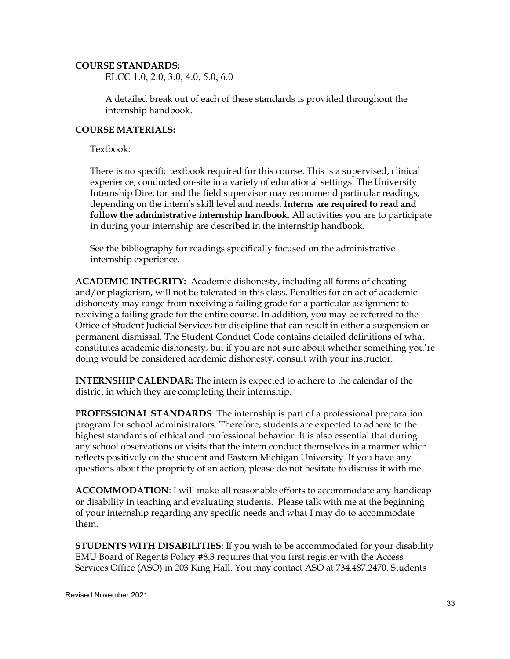#### **COURSE STANDARDS:**

ELCC 1.0, 2.0, 3.0, 4.0, 5.0, 6.0

A detailed break out of each of these standards is provided throughout the internship handbook.

#### **COURSE MATERIALS:**

Textbook:

There is no specific textbook required for this course. This is a supervised, clinical experience, conducted on-site in a variety of educational settings. The University Internship Director and the field supervisor may recommend particular readings, depending on the intern's skill level and needs. **Interns are required to read and follow the administrative internship handbook**. All activities you are to participate in during your internship are described in the internship handbook.

See the bibliography for readings specifically focused on the administrative internship experience.

**ACADEMIC INTEGRITY:** Academic dishonesty, including all forms of cheating and/or plagiarism, will not be tolerated in this class. Penalties for an act of academic dishonesty may range from receiving a failing grade for a particular assignment to receiving a failing grade for the entire course. In addition, you may be referred to the Office of Student Judicial Services for discipline that can result in either a suspension or permanent dismissal. The Student Conduct Code contains detailed definitions of what constitutes academic dishonesty, but if you are not sure about whether something you're doing would be considered academic dishonesty, consult with your instructor.

**INTERNSHIP CALENDAR:** The intern is expected to adhere to the calendar of the district in which they are completing their internship.

**PROFESSIONAL STANDARDS**: The internship is part of a professional preparation program for school administrators. Therefore, students are expected to adhere to the highest standards of ethical and professional behavior. It is also essential that during any school observations or visits that the intern conduct themselves in a manner which reflects positively on the student and Eastern Michigan University. If you have any questions about the propriety of an action, please do not hesitate to discuss it with me.

**ACCOMMODATION**: I will make all reasonable efforts to accommodate any handicap or disability in teaching and evaluating students. Please talk with me at the beginning of your internship regarding any specific needs and what I may do to accommodate them.

**STUDENTS WITH DISABILITIES**: If you wish to be accommodated for your disability EMU Board of Regents Policy #8.3 requires that you first register with the Access Services Office (ASO) in 203 King Hall. You may contact ASO at 734.487.2470. Students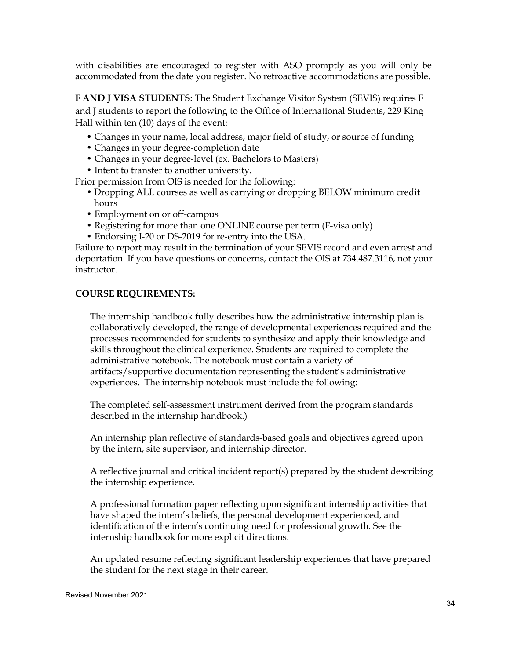with disabilities are encouraged to register with ASO promptly as you will only be accommodated from the date you register. No retroactive accommodations are possible.

**F AND J VISA STUDENTS:** The Student Exchange Visitor System (SEVIS) requires F and J students to report the following to the Office of International Students, 229 King Hall within ten (10) days of the event:

- Changes in your name, local address, major field of study, or source of funding
- Changes in your degree-completion date
- Changes in your degree-level (ex. Bachelors to Masters)
- Intent to transfer to another university.

Prior permission from OIS is needed for the following:

- Dropping ALL courses as well as carrying or dropping BELOW minimum credit hours
- Employment on or off-campus
- Registering for more than one ONLINE course per term (F-visa only)
- Endorsing I-20 or DS-2019 for re-entry into the USA.

Failure to report may result in the termination of your SEVIS record and even arrest and deportation. If you have questions or concerns, contact the OIS at 734.487.3116, not your instructor.

#### **COURSE REQUIREMENTS:**

The internship handbook fully describes how the administrative internship plan is collaboratively developed, the range of developmental experiences required and the processes recommended for students to synthesize and apply their knowledge and skills throughout the clinical experience. Students are required to complete the administrative notebook. The notebook must contain a variety of artifacts/supportive documentation representing the student's administrative experiences. The internship notebook must include the following:

The completed self-assessment instrument derived from the program standards described in the internship handbook.)

An internship plan reflective of standards-based goals and objectives agreed upon by the intern, site supervisor, and internship director.

A reflective journal and critical incident report(s) prepared by the student describing the internship experience.

A professional formation paper reflecting upon significant internship activities that have shaped the intern's beliefs, the personal development experienced, and identification of the intern's continuing need for professional growth. See the internship handbook for more explicit directions.

An updated resume reflecting significant leadership experiences that have prepared the student for the next stage in their career.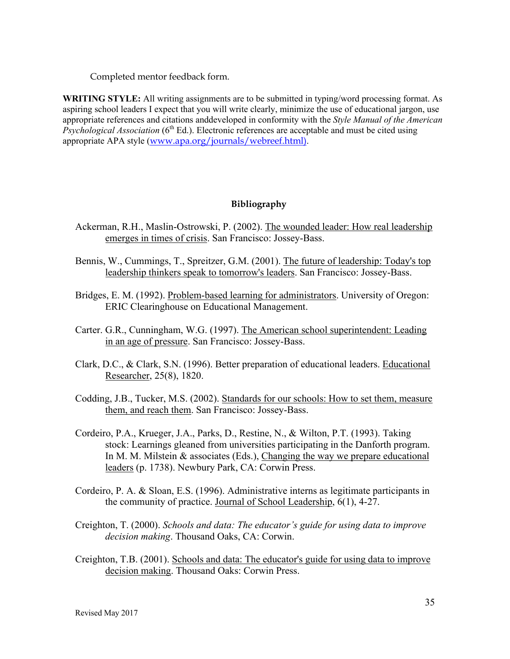Completed mentor feedback form.

**WRITING STYLE:** All writing assignments are to be submitted in typing/word processing format. As aspiring school leaders I expect that you will write clearly, minimize the use of educational jargon, use appropriate references and citations anddeveloped in conformity with the *Style Manual of the American Psychological Association* (6<sup>th</sup> Ed.). Electronic references are acceptable and must be cited using appropriate APA style (www.apa.org/journals/webreef.html).

#### **Bibliography**

- Ackerman, R.H., Maslin-Ostrowski, P. (2002). The wounded leader: How real leadership emerges in times of crisis. San Francisco: Jossey-Bass.
- Bennis, W., Cummings, T., Spreitzer, G.M. (2001). The future of leadership: Today's top leadership thinkers speak to tomorrow's leaders. San Francisco: Jossey-Bass.
- Bridges, E. M. (1992). Problem-based learning for administrators. University of Oregon: ERIC Clearinghouse on Educational Management.
- Carter. G.R., Cunningham, W.G. (1997). The American school superintendent: Leading in an age of pressure. San Francisco: Jossey-Bass.
- Clark, D.C., & Clark, S.N. (1996). Better preparation of educational leaders. Educational Researcher, 25(8), 1820.
- Codding, J.B., Tucker, M.S. (2002). Standards for our schools: How to set them, measure them, and reach them. San Francisco: Jossey-Bass.
- Cordeiro, P.A., Krueger, J.A., Parks, D., Restine, N., & Wilton, P.T. (1993). Taking stock: Learnings gleaned from universities participating in the Danforth program. In M. M. Milstein  $\&$  associates (Eds.), Changing the way we prepare educational leaders (p. 1738). Newbury Park, CA: Corwin Press.
- Cordeiro, P. A. & Sloan, E.S. (1996). Administrative interns as legitimate participants in the community of practice. Journal of School Leadership, 6(1), 4-27.
- Creighton, T. (2000). *Schools and data: The educator's guide for using data to improve decision making*. Thousand Oaks, CA: Corwin.
- Creighton, T.B. (2001). Schools and data: The educator's guide for using data to improve decision making. Thousand Oaks: Corwin Press.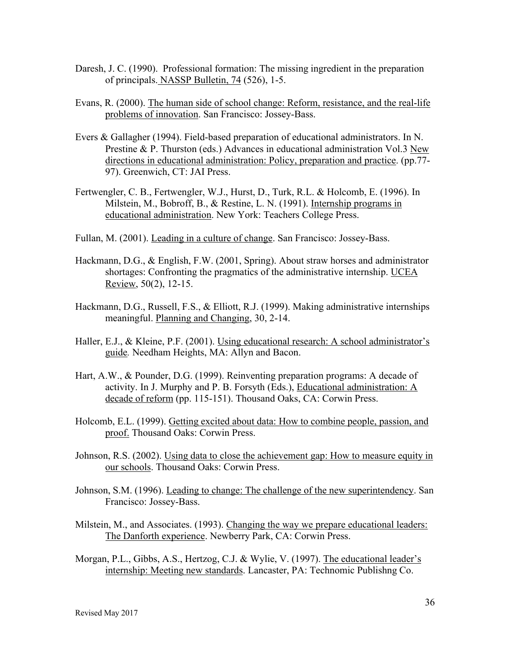- Daresh, J. C. (1990). Professional formation: The missing ingredient in the preparation of principals. NASSP Bulletin, 74 (526), 1-5.
- Evans, R. (2000). The human side of school change: Reform, resistance, and the real-life problems of innovation. San Francisco: Jossey-Bass.
- Evers & Gallagher (1994). Field-based preparation of educational administrators. In N. Prestine & P. Thurston (eds.) Advances in educational administration Vol.3 New directions in educational administration: Policy, preparation and practice. (pp.77- 97). Greenwich, CT: JAI Press.
- Fertwengler, C. B., Fertwengler, W.J., Hurst, D., Turk, R.L. & Holcomb, E. (1996). In Milstein, M., Bobroff, B., & Restine, L. N. (1991). Internship programs in educational administration. New York: Teachers College Press.
- Fullan, M. (2001). Leading in a culture of change. San Francisco: Jossey-Bass.
- Hackmann, D.G., & English, F.W. (2001, Spring). About straw horses and administrator shortages: Confronting the pragmatics of the administrative internship. UCEA Review, 50(2), 12-15.
- Hackmann, D.G., Russell, F.S., & Elliott, R.J. (1999). Making administrative internships meaningful. Planning and Changing, 30, 2-14.
- Haller, E.J., & Kleine, P.F. (2001). Using educational research: A school administrator's guide*.* Needham Heights, MA: Allyn and Bacon.
- Hart, A.W., & Pounder, D.G. (1999). Reinventing preparation programs: A decade of activity. In J. Murphy and P. B. Forsyth (Eds.), Educational administration: A decade of reform (pp. 115-151). Thousand Oaks, CA: Corwin Press.
- Holcomb, E.L. (1999). Getting excited about data: How to combine people, passion, and proof. Thousand Oaks: Corwin Press.
- Johnson, R.S. (2002). Using data to close the achievement gap: How to measure equity in our schools. Thousand Oaks: Corwin Press.
- Johnson, S.M. (1996). Leading to change: The challenge of the new superintendency. San Francisco: Jossey-Bass.
- Milstein, M., and Associates. (1993). Changing the way we prepare educational leaders: The Danforth experience. Newberry Park, CA: Corwin Press.
- Morgan, P.L., Gibbs, A.S., Hertzog, C.J. & Wylie, V. (1997). The educational leader's internship: Meeting new standards. Lancaster, PA: Technomic Publishng Co.